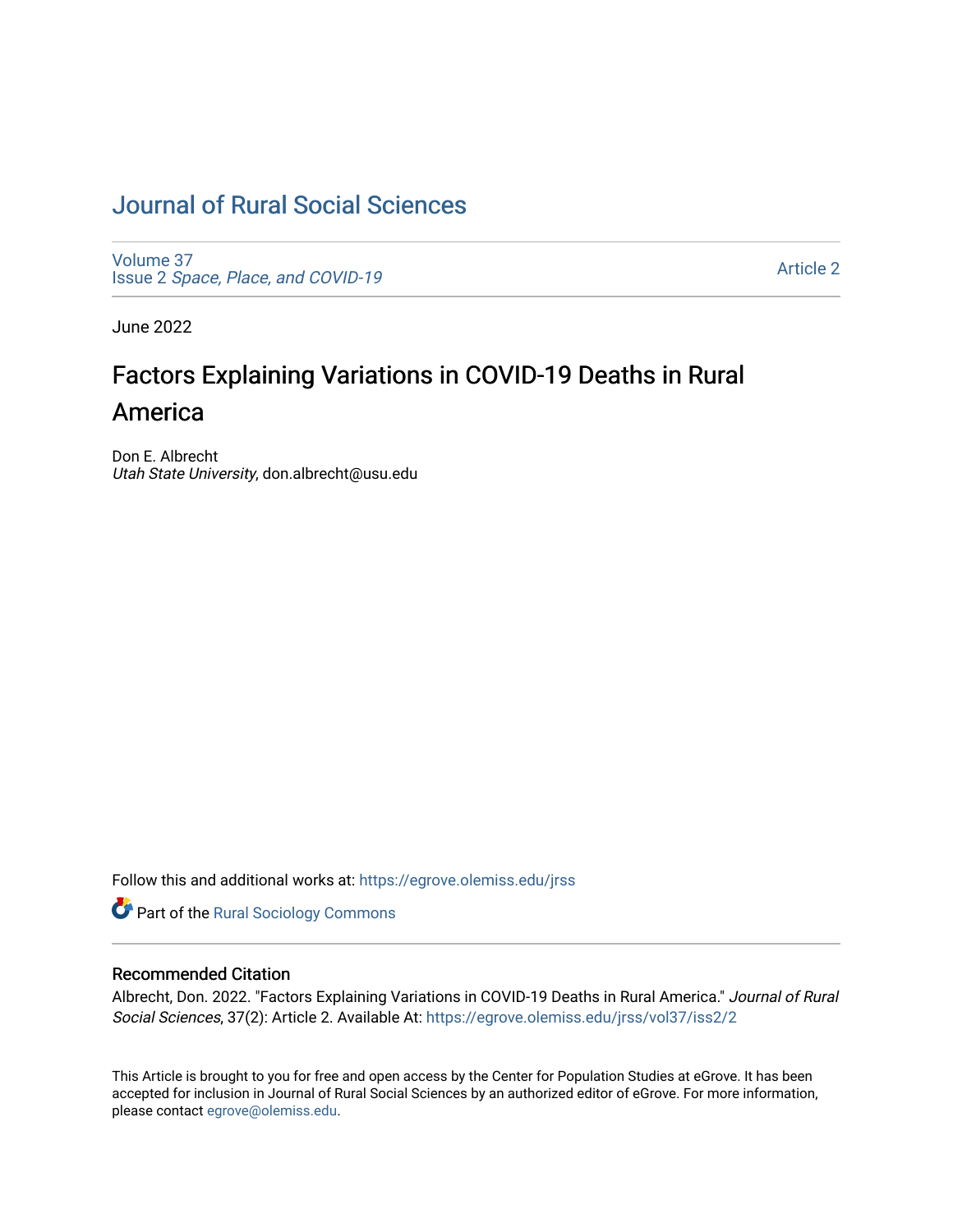# [Journal of Rural Social Sciences](https://egrove.olemiss.edu/jrss)

[Volume 37](https://egrove.olemiss.edu/jrss/vol37) Issue 2 [Space, Place, and COVID-19](https://egrove.olemiss.edu/jrss/vol37/iss2)

[Article 2](https://egrove.olemiss.edu/jrss/vol37/iss2/2) 

June 2022

# Factors Explaining Variations in COVID-19 Deaths in Rural America

Don E. Albrecht Utah State University, don.albrecht@usu.edu

Follow this and additional works at: [https://egrove.olemiss.edu/jrss](https://egrove.olemiss.edu/jrss?utm_source=egrove.olemiss.edu%2Fjrss%2Fvol37%2Fiss2%2F2&utm_medium=PDF&utm_campaign=PDFCoverPages) 

Part of the [Rural Sociology Commons](https://network.bepress.com/hgg/discipline/428?utm_source=egrove.olemiss.edu%2Fjrss%2Fvol37%2Fiss2%2F2&utm_medium=PDF&utm_campaign=PDFCoverPages) 

#### Recommended Citation

Albrecht, Don. 2022. "Factors Explaining Variations in COVID-19 Deaths in Rural America." Journal of Rural Social Sciences, 37(2): Article 2. Available At: [https://egrove.olemiss.edu/jrss/vol37/iss2/2](https://egrove.olemiss.edu/jrss/vol37/iss2/2?utm_source=egrove.olemiss.edu%2Fjrss%2Fvol37%2Fiss2%2F2&utm_medium=PDF&utm_campaign=PDFCoverPages) 

This Article is brought to you for free and open access by the Center for Population Studies at eGrove. It has been accepted for inclusion in Journal of Rural Social Sciences by an authorized editor of eGrove. For more information, please contact [egrove@olemiss.edu.](mailto:egrove@olemiss.edu)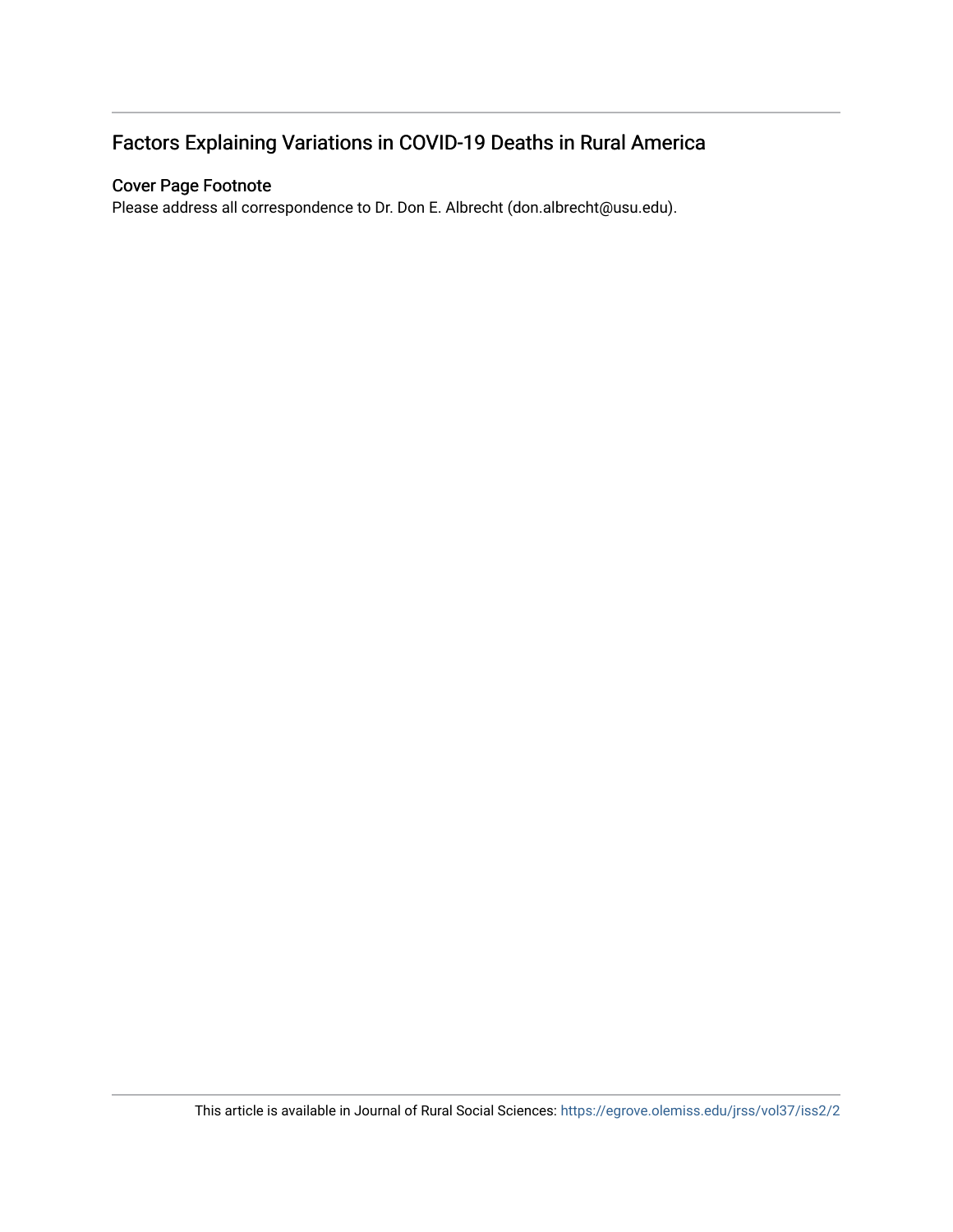# Factors Explaining Variations in COVID-19 Deaths in Rural America

#### Cover Page Footnote

Please address all correspondence to Dr. Don E. Albrecht (don.albrecht@usu.edu).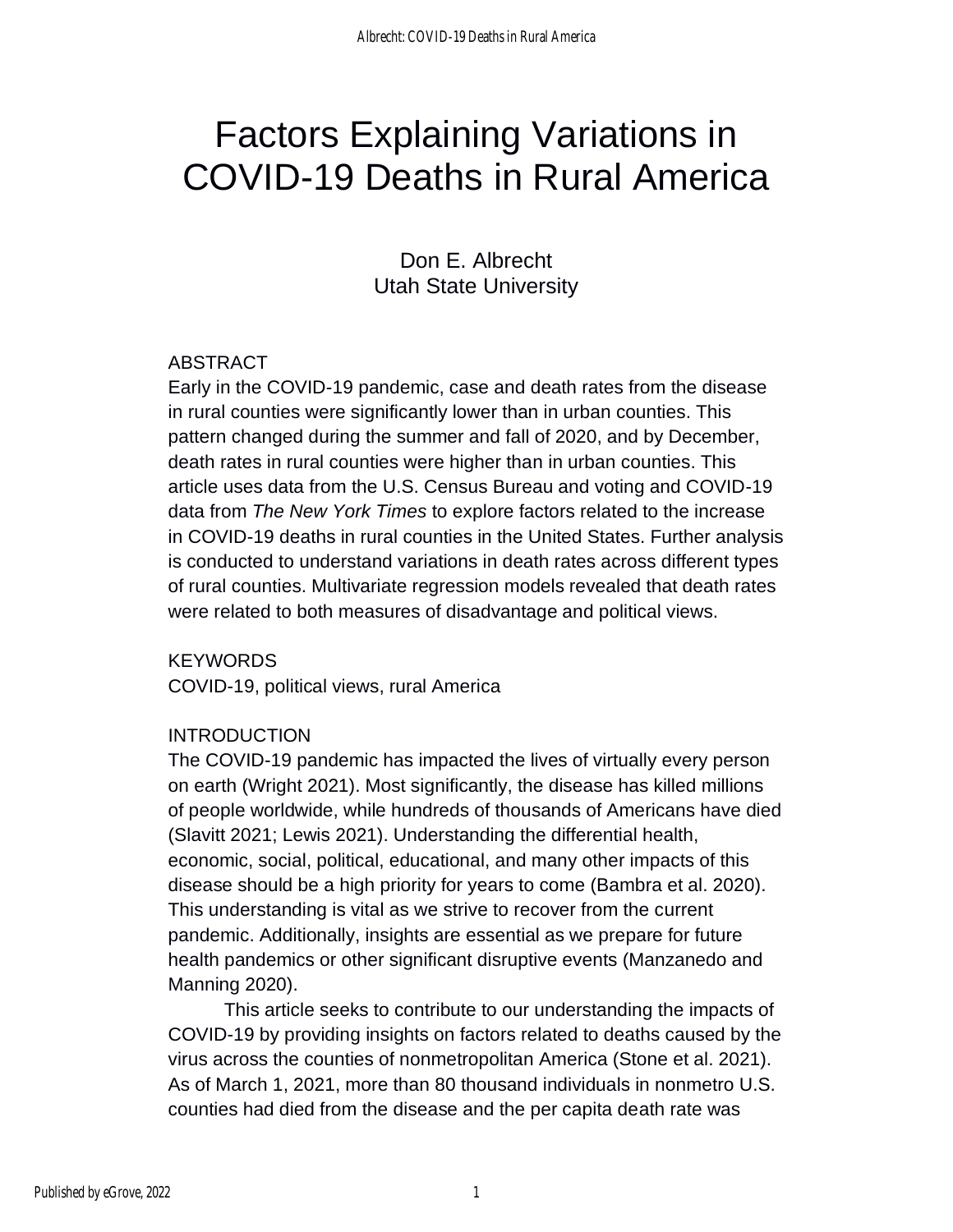# Factors Explaining Variations in COVID-19 Deaths in Rural America

Don E. Albrecht Utah State University

## ABSTRACT

Early in the COVID-19 pandemic, case and death rates from the disease in rural counties were significantly lower than in urban counties. This pattern changed during the summer and fall of 2020, and by December, death rates in rural counties were higher than in urban counties. This article uses data from the U.S. Census Bureau and voting and COVID-19 data from *The New York Times* to explore factors related to the increase in COVID-19 deaths in rural counties in the United States. Further analysis is conducted to understand variations in death rates across different types of rural counties. Multivariate regression models revealed that death rates were related to both measures of disadvantage and political views.

KEYWORDS

COVID-19, political views, rural America

## INTRODUCTION

The COVID-19 pandemic has impacted the lives of virtually every person on earth (Wright 2021). Most significantly, the disease has killed millions of people worldwide, while hundreds of thousands of Americans have died (Slavitt 2021; Lewis 2021). Understanding the differential health, economic, social, political, educational, and many other impacts of this disease should be a high priority for years to come (Bambra et al. 2020). This understanding is vital as we strive to recover from the current pandemic. Additionally, insights are essential as we prepare for future health pandemics or other significant disruptive events (Manzanedo and Manning 2020).

This article seeks to contribute to our understanding the impacts of COVID-19 by providing insights on factors related to deaths caused by the virus across the counties of nonmetropolitan America (Stone et al. 2021). As of March 1, 2021, more than 80 thousand individuals in nonmetro U.S. counties had died from the disease and the per capita death rate was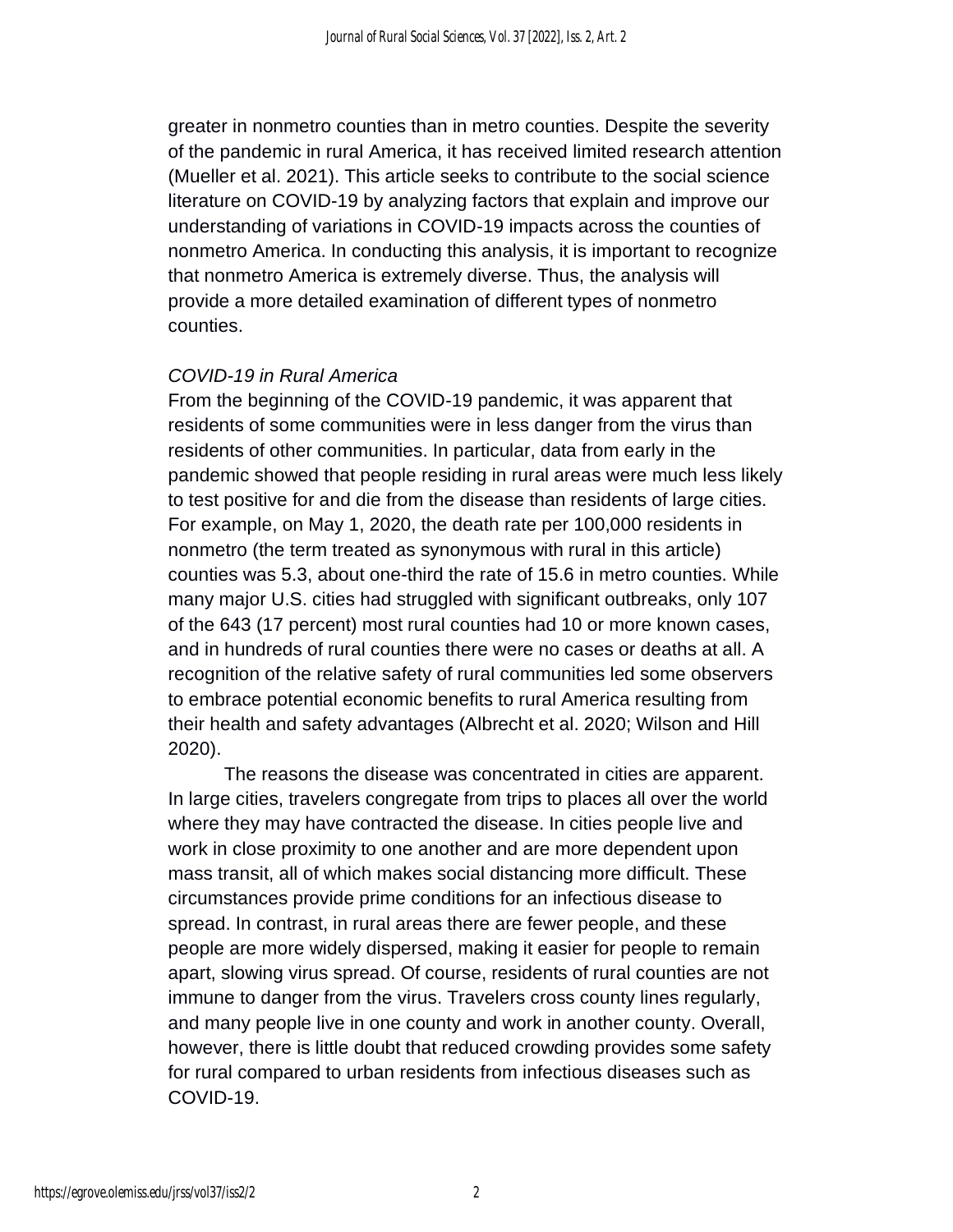greater in nonmetro counties than in metro counties. Despite the severity of the pandemic in rural America, it has received limited research attention (Mueller et al. 2021). This article seeks to contribute to the social science literature on COVID-19 by analyzing factors that explain and improve our understanding of variations in COVID-19 impacts across the counties of nonmetro America. In conducting this analysis, it is important to recognize that nonmetro America is extremely diverse. Thus, the analysis will provide a more detailed examination of different types of nonmetro counties.

#### *COVID-19 in Rural America*

From the beginning of the COVID-19 pandemic, it was apparent that residents of some communities were in less danger from the virus than residents of other communities. In particular, data from early in the pandemic showed that people residing in rural areas were much less likely to test positive for and die from the disease than residents of large cities. For example, on May 1, 2020, the death rate per 100,000 residents in nonmetro (the term treated as synonymous with rural in this article) counties was 5.3, about one-third the rate of 15.6 in metro counties. While many major U.S. cities had struggled with significant outbreaks, only 107 of the 643 (17 percent) most rural counties had 10 or more known cases, and in hundreds of rural counties there were no cases or deaths at all. A recognition of the relative safety of rural communities led some observers to embrace potential economic benefits to rural America resulting from their health and safety advantages (Albrecht et al. 2020; Wilson and Hill 2020).

The reasons the disease was concentrated in cities are apparent. In large cities, travelers congregate from trips to places all over the world where they may have contracted the disease. In cities people live and work in close proximity to one another and are more dependent upon mass transit, all of which makes social distancing more difficult. These circumstances provide prime conditions for an infectious disease to spread. In contrast, in rural areas there are fewer people, and these people are more widely dispersed, making it easier for people to remain apart, slowing virus spread. Of course, residents of rural counties are not immune to danger from the virus. Travelers cross county lines regularly, and many people live in one county and work in another county. Overall, however, there is little doubt that reduced crowding provides some safety for rural compared to urban residents from infectious diseases such as COVID-19.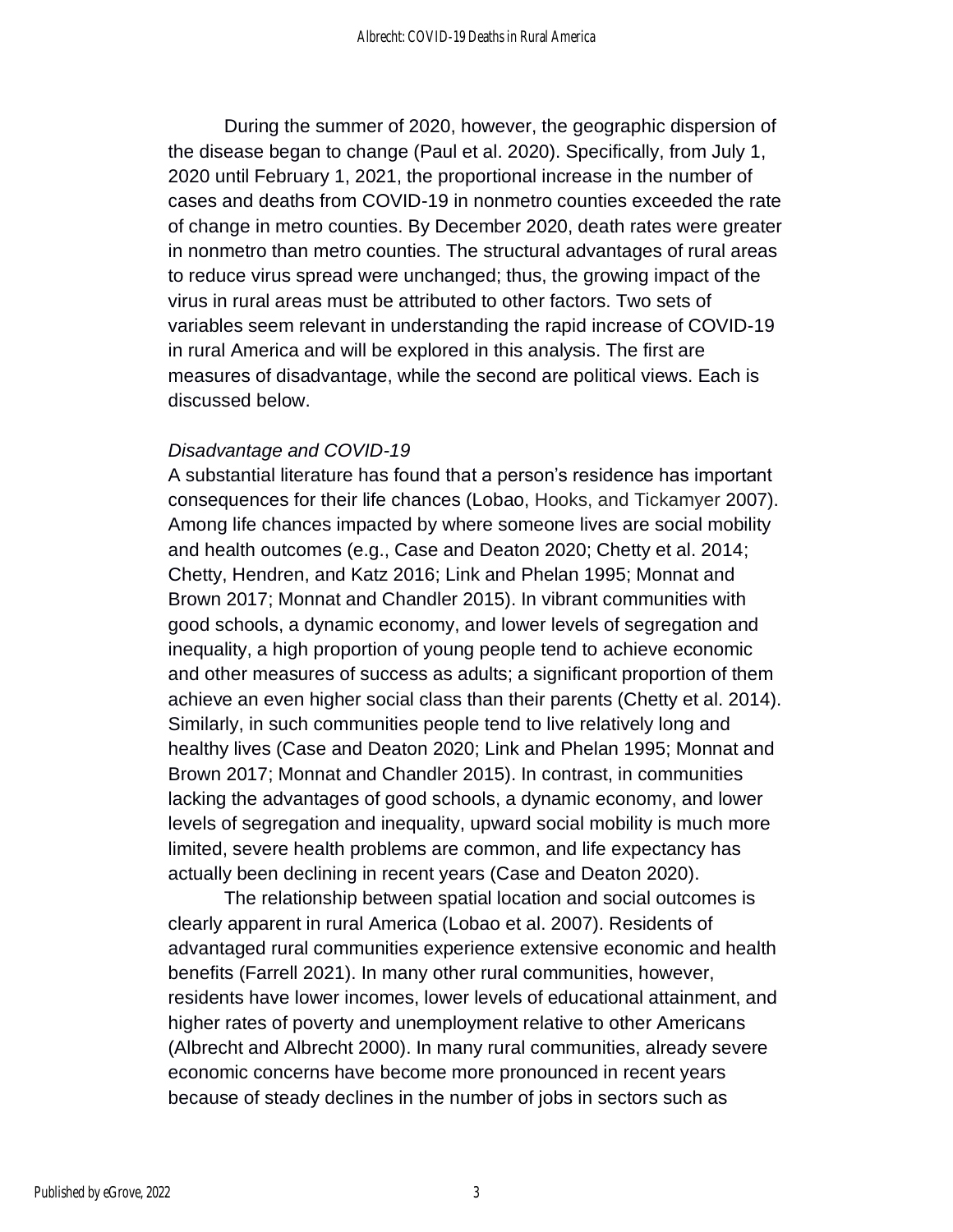During the summer of 2020, however, the geographic dispersion of the disease began to change (Paul et al. 2020). Specifically, from July 1, 2020 until February 1, 2021, the proportional increase in the number of cases and deaths from COVID-19 in nonmetro counties exceeded the rate of change in metro counties. By December 2020, death rates were greater in nonmetro than metro counties. The structural advantages of rural areas to reduce virus spread were unchanged; thus, the growing impact of the virus in rural areas must be attributed to other factors. Two sets of variables seem relevant in understanding the rapid increase of COVID-19 in rural America and will be explored in this analysis. The first are measures of disadvantage, while the second are political views. Each is discussed below.

#### *Disadvantage and COVID-19*

A substantial literature has found that a person's residence has important consequences for their life chances (Lobao, Hooks, and Tickamyer 2007). Among life chances impacted by where someone lives are social mobility and health outcomes (e.g., Case and Deaton 2020; Chetty et al. 2014; Chetty, Hendren, and Katz 2016; Link and Phelan 1995; Monnat and Brown 2017; Monnat and Chandler 2015). In vibrant communities with good schools, a dynamic economy, and lower levels of segregation and inequality, a high proportion of young people tend to achieve economic and other measures of success as adults; a significant proportion of them achieve an even higher social class than their parents (Chetty et al. 2014). Similarly, in such communities people tend to live relatively long and healthy lives (Case and Deaton 2020; Link and Phelan 1995; Monnat and Brown 2017; Monnat and Chandler 2015). In contrast, in communities lacking the advantages of good schools, a dynamic economy, and lower levels of segregation and inequality, upward social mobility is much more limited, severe health problems are common, and life expectancy has actually been declining in recent years (Case and Deaton 2020).

The relationship between spatial location and social outcomes is clearly apparent in rural America (Lobao et al. 2007). Residents of advantaged rural communities experience extensive economic and health benefits (Farrell 2021). In many other rural communities, however, residents have lower incomes, lower levels of educational attainment, and higher rates of poverty and unemployment relative to other Americans (Albrecht and Albrecht 2000). In many rural communities, already severe economic concerns have become more pronounced in recent years because of steady declines in the number of jobs in sectors such as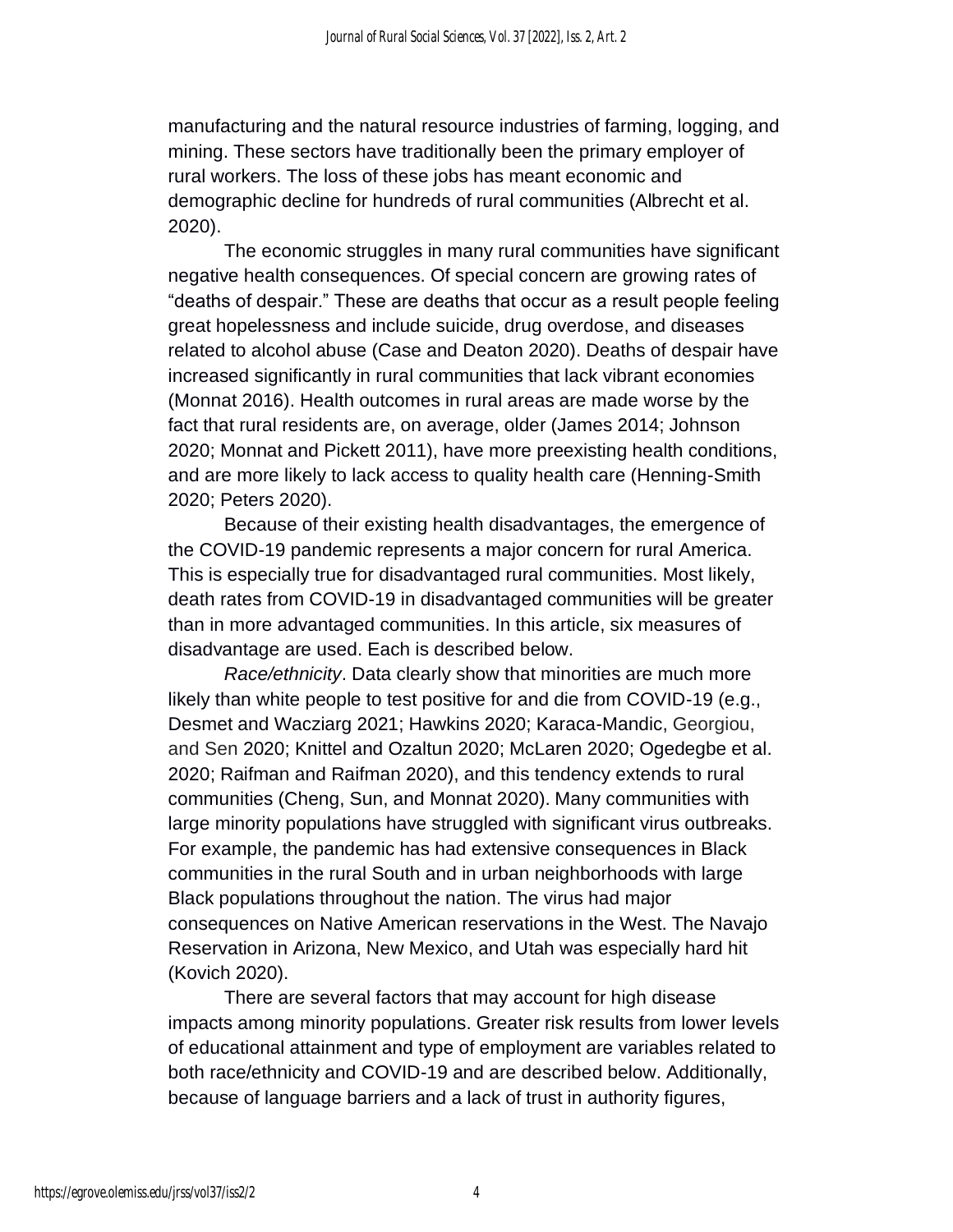manufacturing and the natural resource industries of farming, logging, and mining. These sectors have traditionally been the primary employer of rural workers. The loss of these jobs has meant economic and demographic decline for hundreds of rural communities (Albrecht et al. 2020).

The economic struggles in many rural communities have significant negative health consequences. Of special concern are growing rates of "deaths of despair." These are deaths that occur as a result people feeling great hopelessness and include suicide, drug overdose, and diseases related to alcohol abuse (Case and Deaton 2020). Deaths of despair have increased significantly in rural communities that lack vibrant economies (Monnat 2016). Health outcomes in rural areas are made worse by the fact that rural residents are, on average, older (James 2014; Johnson 2020; Monnat and Pickett 2011), have more preexisting health conditions, and are more likely to lack access to quality health care (Henning-Smith 2020; Peters 2020).

Because of their existing health disadvantages, the emergence of the COVID-19 pandemic represents a major concern for rural America. This is especially true for disadvantaged rural communities. Most likely, death rates from COVID-19 in disadvantaged communities will be greater than in more advantaged communities. In this article, six measures of disadvantage are used. Each is described below.

*Race/ethnicity*. Data clearly show that minorities are much more likely than white people to test positive for and die from COVID-19 (e.g., Desmet and Wacziarg 2021; Hawkins 2020; Karaca-Mandic, Georgiou, and Sen 2020; Knittel and Ozaltun 2020; McLaren 2020; Ogedegbe et al. 2020; Raifman and Raifman 2020), and this tendency extends to rural communities (Cheng, Sun, and Monnat 2020). Many communities with large minority populations have struggled with significant virus outbreaks. For example, the pandemic has had extensive consequences in Black communities in the rural South and in urban neighborhoods with large Black populations throughout the nation. The virus had major consequences on Native American reservations in the West. The Navajo Reservation in Arizona, New Mexico, and Utah was especially hard hit (Kovich 2020).

There are several factors that may account for high disease impacts among minority populations. Greater risk results from lower levels of educational attainment and type of employment are variables related to both race/ethnicity and COVID-19 and are described below. Additionally, because of language barriers and a lack of trust in authority figures,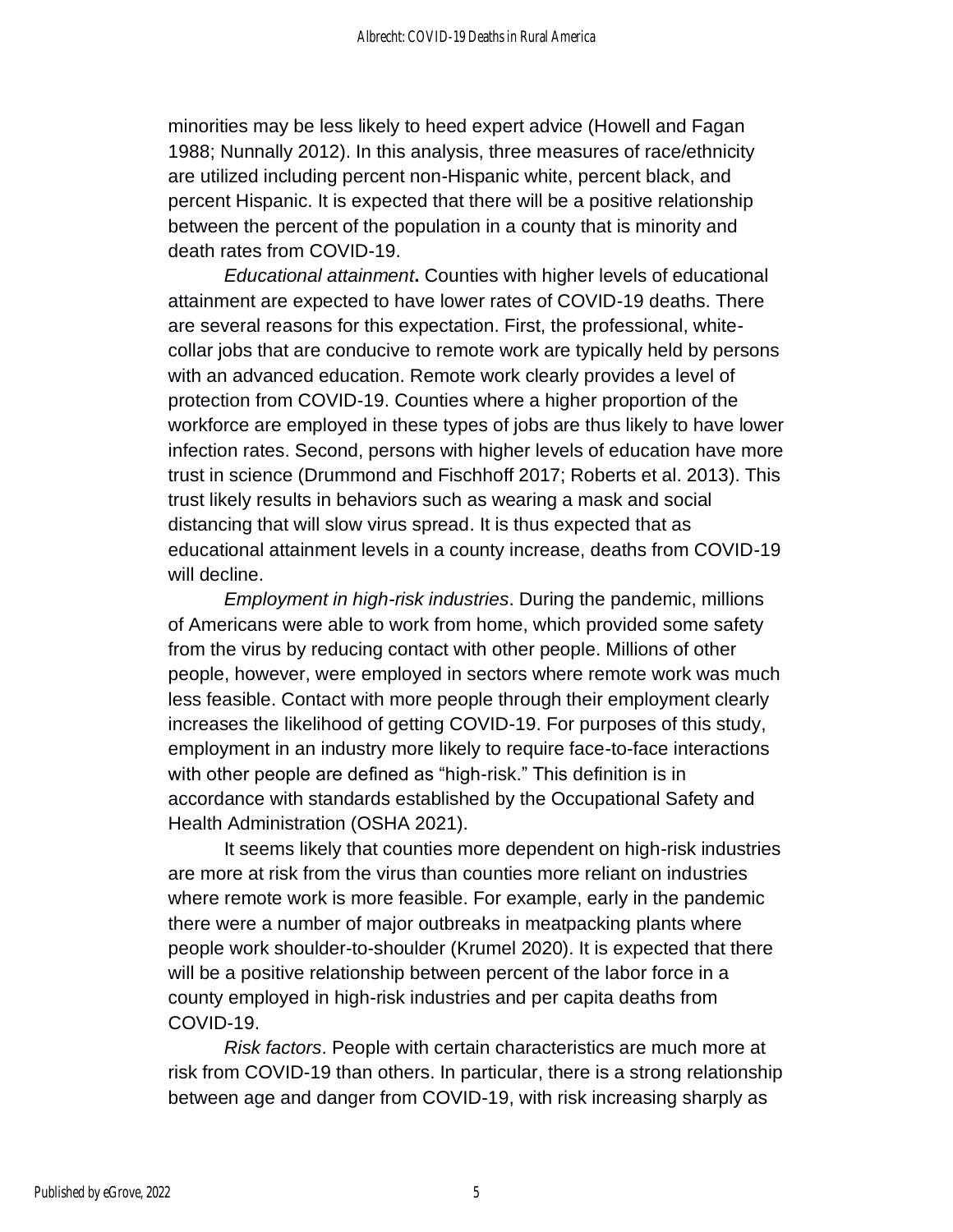minorities may be less likely to heed expert advice (Howell and Fagan 1988; Nunnally 2012). In this analysis, three measures of race/ethnicity are utilized including percent non-Hispanic white, percent black, and percent Hispanic. It is expected that there will be a positive relationship between the percent of the population in a county that is minority and death rates from COVID-19.

*Educational attainment***.** Counties with higher levels of educational attainment are expected to have lower rates of COVID-19 deaths. There are several reasons for this expectation. First, the professional, whitecollar jobs that are conducive to remote work are typically held by persons with an advanced education. Remote work clearly provides a level of protection from COVID-19. Counties where a higher proportion of the workforce are employed in these types of jobs are thus likely to have lower infection rates. Second, persons with higher levels of education have more trust in science (Drummond and Fischhoff 2017; Roberts et al. 2013). This trust likely results in behaviors such as wearing a mask and social distancing that will slow virus spread. It is thus expected that as educational attainment levels in a county increase, deaths from COVID-19 will decline.

*Employment in high-risk industries*. During the pandemic, millions of Americans were able to work from home, which provided some safety from the virus by reducing contact with other people. Millions of other people, however, were employed in sectors where remote work was much less feasible. Contact with more people through their employment clearly increases the likelihood of getting COVID-19. For purposes of this study, employment in an industry more likely to require face-to-face interactions with other people are defined as "high-risk." This definition is in accordance with standards established by the Occupational Safety and Health Administration (OSHA 2021).

It seems likely that counties more dependent on high-risk industries are more at risk from the virus than counties more reliant on industries where remote work is more feasible. For example, early in the pandemic there were a number of major outbreaks in meatpacking plants where people work shoulder-to-shoulder (Krumel 2020). It is expected that there will be a positive relationship between percent of the labor force in a county employed in high-risk industries and per capita deaths from COVID-19.

*Risk factors*. People with certain characteristics are much more at risk from COVID-19 than others. In particular, there is a strong relationship between age and danger from COVID-19, with risk increasing sharply as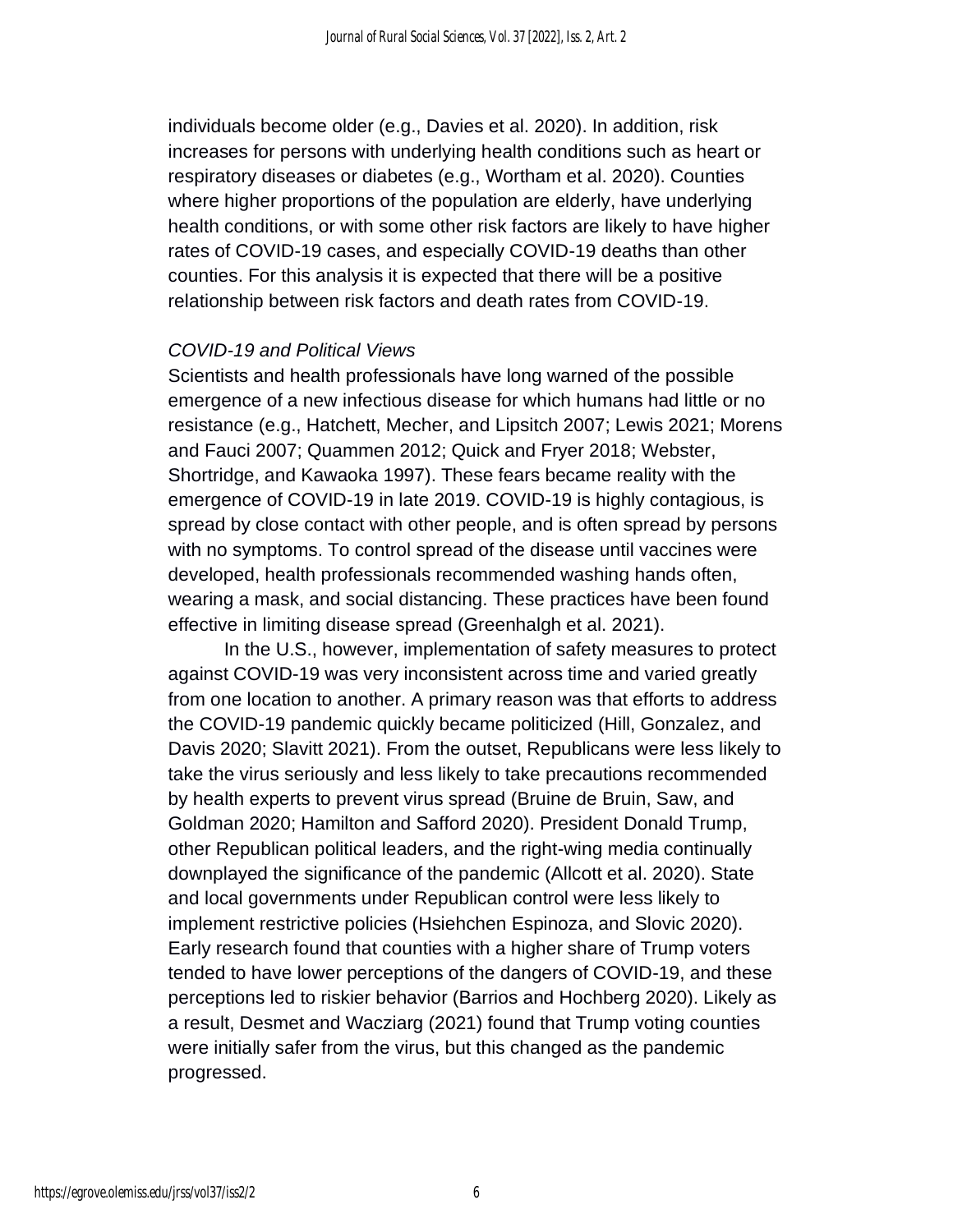individuals become older (e.g., Davies et al. 2020). In addition, risk increases for persons with underlying health conditions such as heart or respiratory diseases or diabetes (e.g., Wortham et al. 2020). Counties where higher proportions of the population are elderly, have underlying health conditions, or with some other risk factors are likely to have higher rates of COVID-19 cases, and especially COVID-19 deaths than other counties. For this analysis it is expected that there will be a positive relationship between risk factors and death rates from COVID-19.

#### *COVID-19 and Political Views*

Scientists and health professionals have long warned of the possible emergence of a new infectious disease for which humans had little or no resistance (e.g., Hatchett, Mecher, and Lipsitch 2007; Lewis 2021; Morens and Fauci 2007; Quammen 2012; Quick and Fryer 2018; Webster, Shortridge, and Kawaoka 1997). These fears became reality with the emergence of COVID-19 in late 2019. COVID-19 is highly contagious, is spread by close contact with other people, and is often spread by persons with no symptoms. To control spread of the disease until vaccines were developed, health professionals recommended washing hands often, wearing a mask, and social distancing. These practices have been found effective in limiting disease spread (Greenhalgh et al. 2021).

In the U.S., however, implementation of safety measures to protect against COVID-19 was very inconsistent across time and varied greatly from one location to another. A primary reason was that efforts to address the COVID-19 pandemic quickly became politicized (Hill, Gonzalez, and Davis 2020; Slavitt 2021). From the outset, Republicans were less likely to take the virus seriously and less likely to take precautions recommended by health experts to prevent virus spread (Bruine de Bruin, Saw, and Goldman 2020; Hamilton and Safford 2020). President Donald Trump, other Republican political leaders, and the right-wing media continually downplayed the significance of the pandemic (Allcott et al. 2020). State and local governments under Republican control were less likely to implement restrictive policies (Hsiehchen Espinoza, and Slovic 2020). Early research found that counties with a higher share of Trump voters tended to have lower perceptions of the dangers of COVID-19, and these perceptions led to riskier behavior (Barrios and Hochberg 2020). Likely as a result, Desmet and Wacziarg (2021) found that Trump voting counties were initially safer from the virus, but this changed as the pandemic progressed.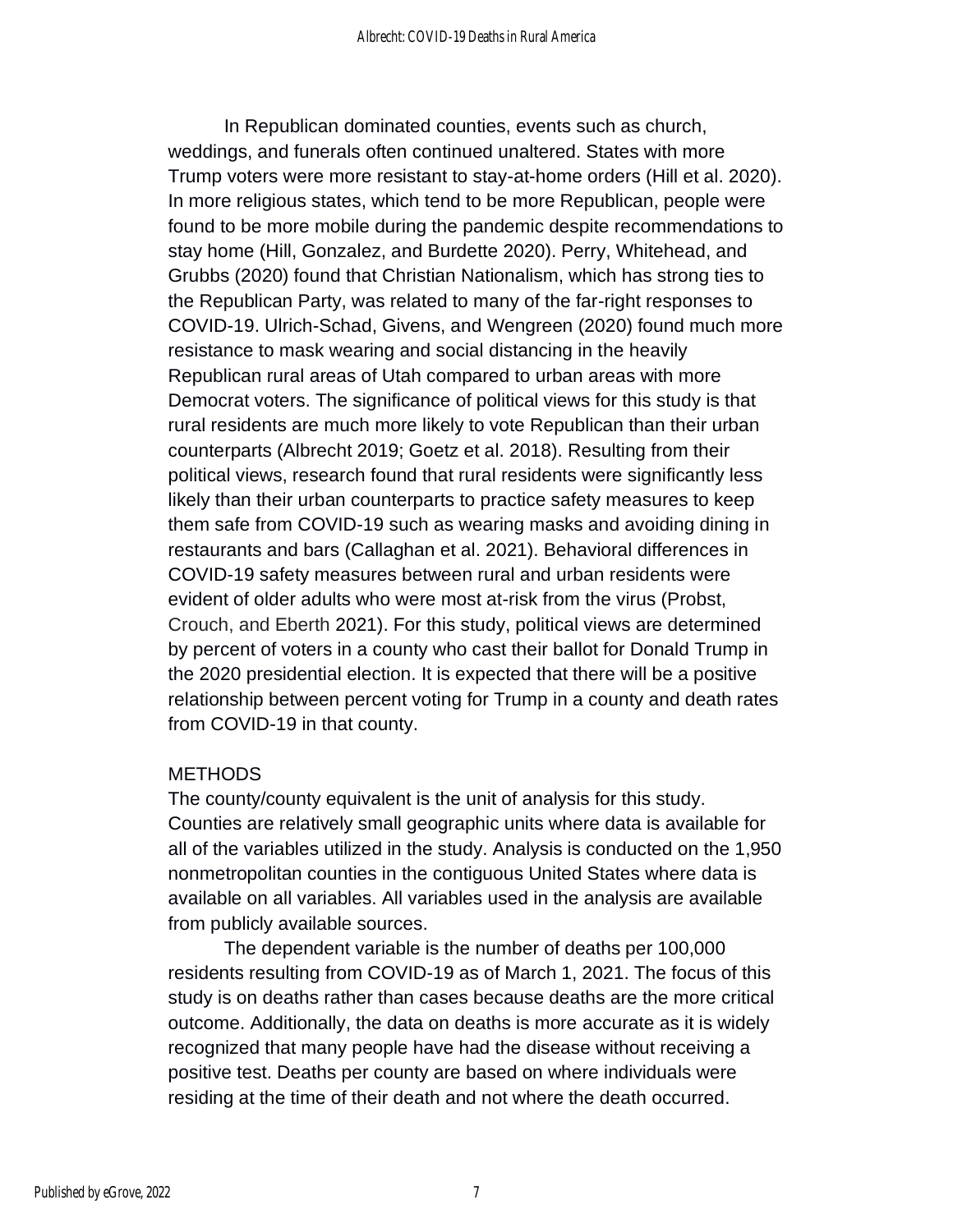In Republican dominated counties, events such as church, weddings, and funerals often continued unaltered. States with more Trump voters were more resistant to stay-at-home orders (Hill et al. 2020). In more religious states, which tend to be more Republican, people were found to be more mobile during the pandemic despite recommendations to stay home (Hill, Gonzalez, and Burdette 2020). Perry, Whitehead, and Grubbs (2020) found that Christian Nationalism, which has strong ties to the Republican Party, was related to many of the far-right responses to COVID-19. Ulrich-Schad, Givens, and Wengreen (2020) found much more resistance to mask wearing and social distancing in the heavily Republican rural areas of Utah compared to urban areas with more Democrat voters. The significance of political views for this study is that rural residents are much more likely to vote Republican than their urban counterparts (Albrecht 2019; Goetz et al. 2018). Resulting from their political views, research found that rural residents were significantly less likely than their urban counterparts to practice safety measures to keep them safe from COVID-19 such as wearing masks and avoiding dining in restaurants and bars (Callaghan et al. 2021). Behavioral differences in COVID-19 safety measures between rural and urban residents were evident of older adults who were most at-risk from the virus (Probst, Crouch, and Eberth 2021). For this study, political views are determined by percent of voters in a county who cast their ballot for Donald Trump in the 2020 presidential election. It is expected that there will be a positive relationship between percent voting for Trump in a county and death rates from COVID-19 in that county.

#### **METHODS**

The county/county equivalent is the unit of analysis for this study. Counties are relatively small geographic units where data is available for all of the variables utilized in the study. Analysis is conducted on the 1,950 nonmetropolitan counties in the contiguous United States where data is available on all variables. All variables used in the analysis are available from publicly available sources.

The dependent variable is the number of deaths per 100,000 residents resulting from COVID-19 as of March 1, 2021. The focus of this study is on deaths rather than cases because deaths are the more critical outcome. Additionally, the data on deaths is more accurate as it is widely recognized that many people have had the disease without receiving a positive test. Deaths per county are based on where individuals were residing at the time of their death and not where the death occurred.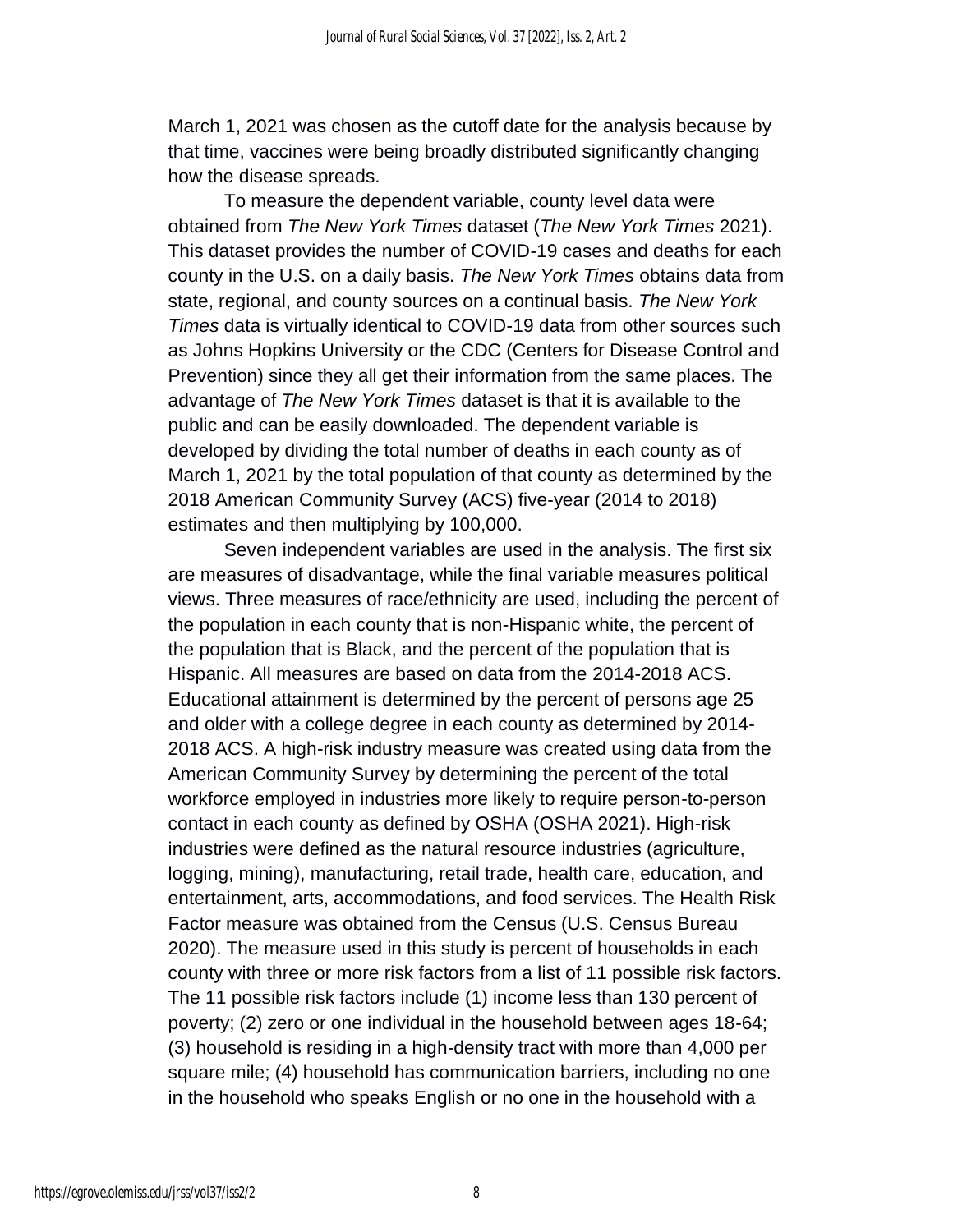March 1, 2021 was chosen as the cutoff date for the analysis because by that time, vaccines were being broadly distributed significantly changing how the disease spreads.

To measure the dependent variable, county level data were obtained from *The New York Times* dataset (*The New York Times* 2021). This dataset provides the number of COVID-19 cases and deaths for each county in the U.S. on a daily basis. *The New York Times* obtains data from state, regional, and county sources on a continual basis. *The New York Times* data is virtually identical to COVID-19 data from other sources such as Johns Hopkins University or the CDC (Centers for Disease Control and Prevention) since they all get their information from the same places. The advantage of *The New York Times* dataset is that it is available to the public and can be easily downloaded. The dependent variable is developed by dividing the total number of deaths in each county as of March 1, 2021 by the total population of that county as determined by the 2018 American Community Survey (ACS) five-year (2014 to 2018) estimates and then multiplying by 100,000.

Seven independent variables are used in the analysis. The first six are measures of disadvantage, while the final variable measures political views. Three measures of race/ethnicity are used, including the percent of the population in each county that is non-Hispanic white, the percent of the population that is Black, and the percent of the population that is Hispanic. All measures are based on data from the 2014-2018 ACS. Educational attainment is determined by the percent of persons age 25 and older with a college degree in each county as determined by 2014- 2018 ACS. A high-risk industry measure was created using data from the American Community Survey by determining the percent of the total workforce employed in industries more likely to require person-to-person contact in each county as defined by OSHA (OSHA 2021). High-risk industries were defined as the natural resource industries (agriculture, logging, mining), manufacturing, retail trade, health care, education, and entertainment, arts, accommodations, and food services. The Health Risk Factor measure was obtained from the Census (U.S. Census Bureau 2020). The measure used in this study is percent of households in each county with three or more risk factors from a list of 11 possible risk factors. The 11 possible risk factors include (1) income less than 130 percent of poverty; (2) zero or one individual in the household between ages 18-64; (3) household is residing in a high-density tract with more than 4,000 per square mile; (4) household has communication barriers, including no one in the household who speaks English or no one in the household with a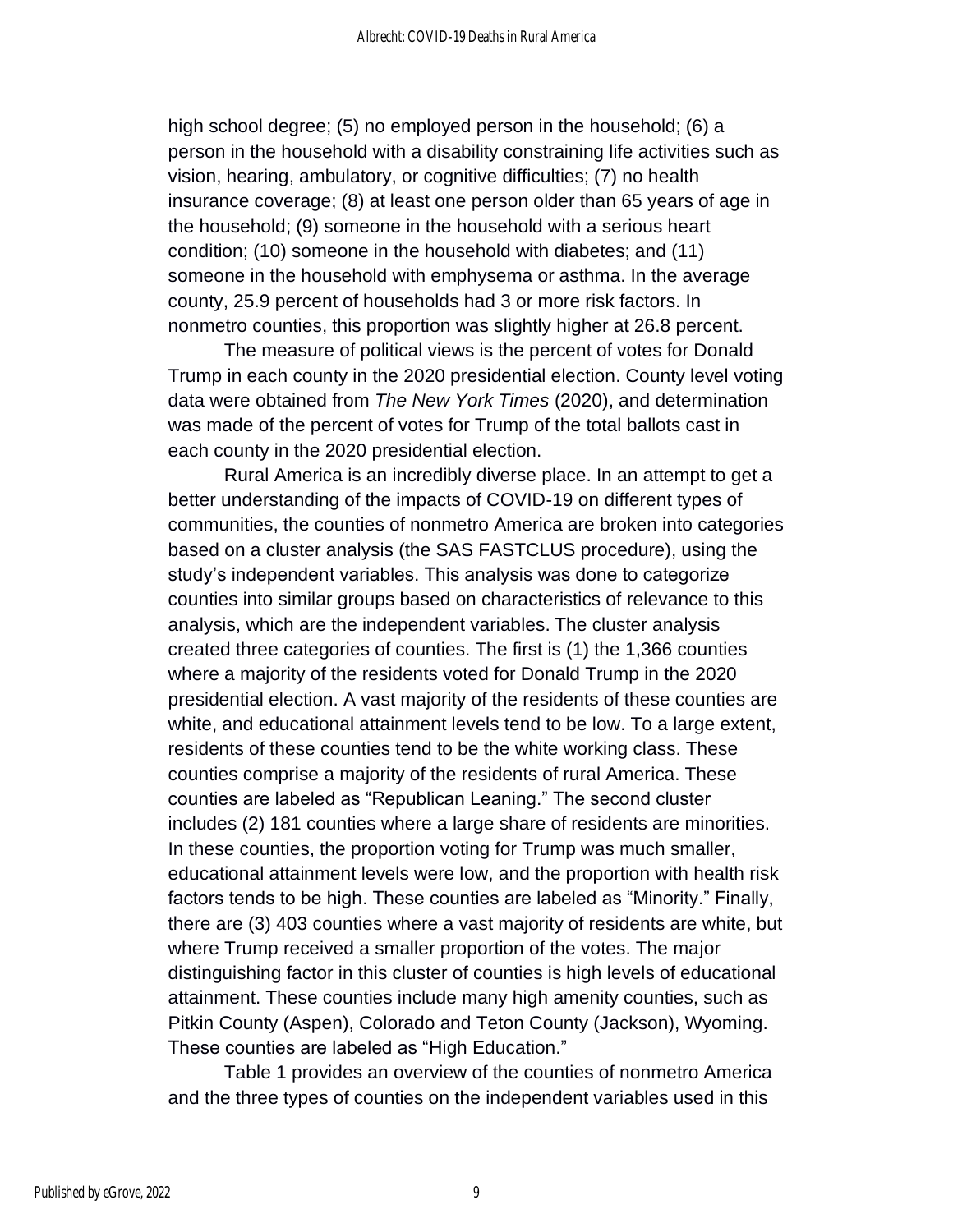high school degree; (5) no employed person in the household; (6) a person in the household with a disability constraining life activities such as vision, hearing, ambulatory, or cognitive difficulties; (7) no health insurance coverage; (8) at least one person older than 65 years of age in the household; (9) someone in the household with a serious heart condition; (10) someone in the household with diabetes; and (11) someone in the household with emphysema or asthma. In the average county, 25.9 percent of households had 3 or more risk factors. In nonmetro counties, this proportion was slightly higher at 26.8 percent.

The measure of political views is the percent of votes for Donald Trump in each county in the 2020 presidential election. County level voting data were obtained from *The New York Times* (2020), and determination was made of the percent of votes for Trump of the total ballots cast in each county in the 2020 presidential election.

Rural America is an incredibly diverse place. In an attempt to get a better understanding of the impacts of COVID-19 on different types of communities, the counties of nonmetro America are broken into categories based on a cluster analysis (the SAS FASTCLUS procedure), using the study's independent variables. This analysis was done to categorize counties into similar groups based on characteristics of relevance to this analysis, which are the independent variables. The cluster analysis created three categories of counties. The first is (1) the 1,366 counties where a majority of the residents voted for Donald Trump in the 2020 presidential election. A vast majority of the residents of these counties are white, and educational attainment levels tend to be low. To a large extent, residents of these counties tend to be the white working class. These counties comprise a majority of the residents of rural America. These counties are labeled as "Republican Leaning." The second cluster includes (2) 181 counties where a large share of residents are minorities. In these counties, the proportion voting for Trump was much smaller, educational attainment levels were low, and the proportion with health risk factors tends to be high. These counties are labeled as "Minority." Finally, there are (3) 403 counties where a vast majority of residents are white, but where Trump received a smaller proportion of the votes. The major distinguishing factor in this cluster of counties is high levels of educational attainment. These counties include many high amenity counties, such as Pitkin County (Aspen), Colorado and Teton County (Jackson), Wyoming. These counties are labeled as "High Education."

Table 1 provides an overview of the counties of nonmetro America and the three types of counties on the independent variables used in this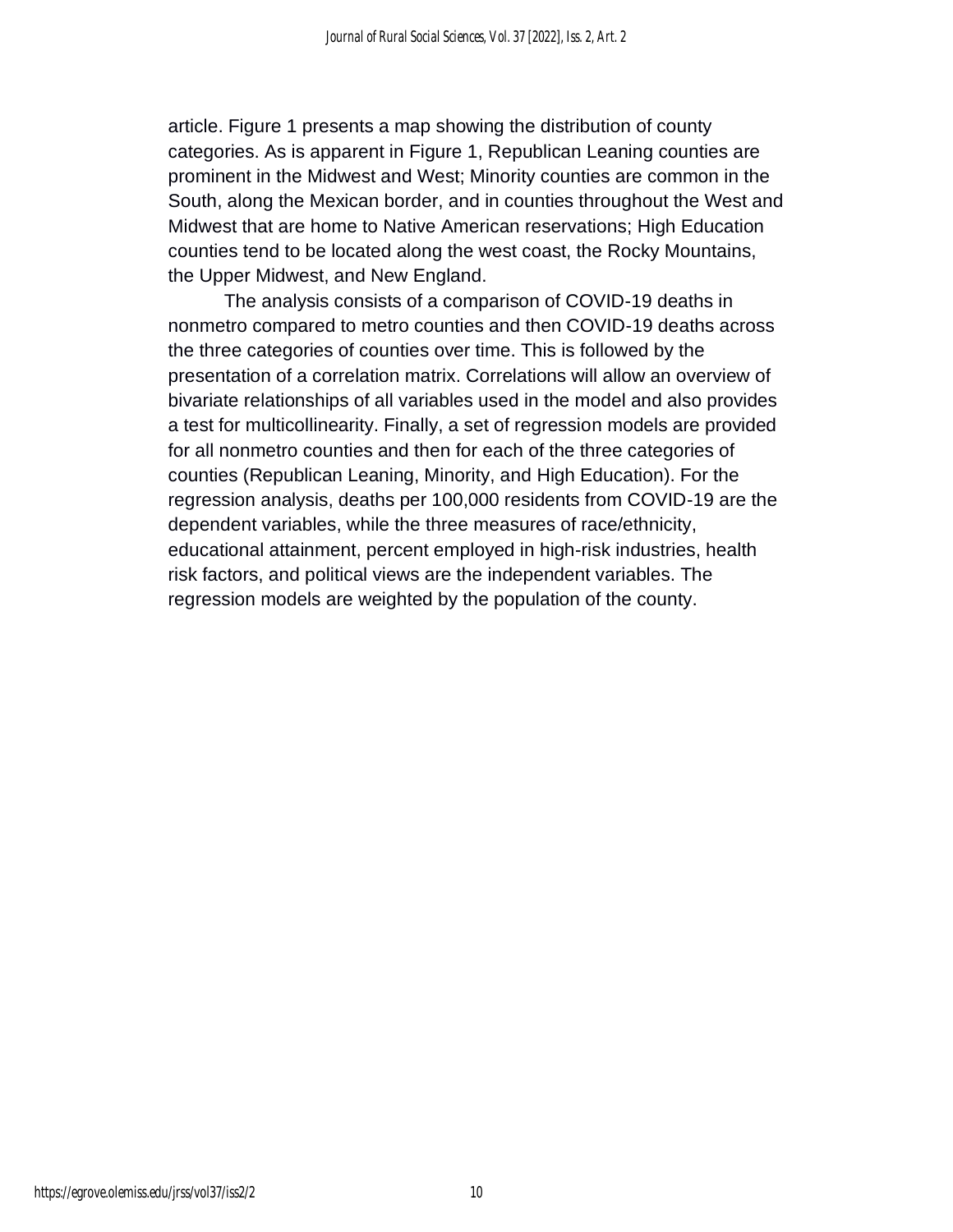article. Figure 1 presents a map showing the distribution of county categories. As is apparent in Figure 1, Republican Leaning counties are prominent in the Midwest and West; Minority counties are common in the South, along the Mexican border, and in counties throughout the West and Midwest that are home to Native American reservations; High Education counties tend to be located along the west coast, the Rocky Mountains, the Upper Midwest, and New England.

The analysis consists of a comparison of COVID-19 deaths in nonmetro compared to metro counties and then COVID-19 deaths across the three categories of counties over time. This is followed by the presentation of a correlation matrix. Correlations will allow an overview of bivariate relationships of all variables used in the model and also provides a test for multicollinearity. Finally, a set of regression models are provided for all nonmetro counties and then for each of the three categories of counties (Republican Leaning, Minority, and High Education). For the regression analysis, deaths per 100,000 residents from COVID-19 are the dependent variables, while the three measures of race/ethnicity, educational attainment, percent employed in high-risk industries, health risk factors, and political views are the independent variables. The regression models are weighted by the population of the county.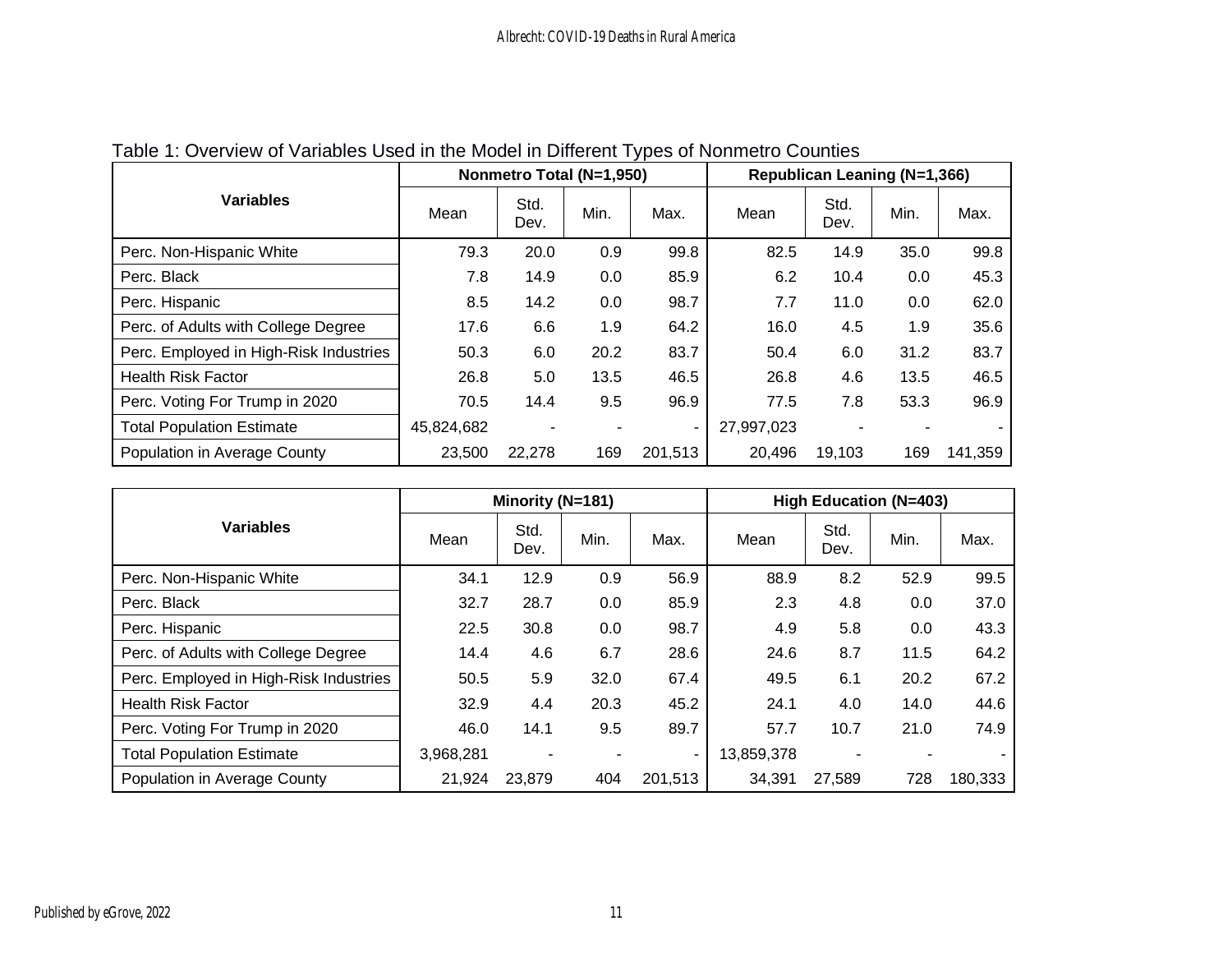|                                        |            | Nonmetro Total (N=1,950) |      |                          |            | Republican Leaning (N=1,366) |      |         |  |  |
|----------------------------------------|------------|--------------------------|------|--------------------------|------------|------------------------------|------|---------|--|--|
| <b>Variables</b>                       | Mean       | Std.<br>Dev.             | Min. | Max.                     | Mean       | Std.<br>Dev.                 | Min. | Max.    |  |  |
| Perc. Non-Hispanic White               | 79.3       | 20.0                     | 0.9  | 99.8                     | 82.5       | 14.9                         | 35.0 | 99.8    |  |  |
| Perc. Black                            | 7.8        | 14.9                     | 0.0  | 85.9                     | 6.2        | 10.4                         | 0.0  | 45.3    |  |  |
| Perc. Hispanic                         | 8.5        | 14.2                     | 0.0  | 98.7                     | 7.7        | 11.0                         | 0.0  | 62.0    |  |  |
| Perc. of Adults with College Degree    | 17.6       | 6.6                      | 1.9  | 64.2                     | 16.0       | 4.5                          | 1.9  | 35.6    |  |  |
| Perc. Employed in High-Risk Industries | 50.3       | 6.0                      | 20.2 | 83.7                     | 50.4       | 6.0                          | 31.2 | 83.7    |  |  |
| <b>Health Risk Factor</b>              | 26.8       | 5.0                      | 13.5 | 46.5                     | 26.8       | 4.6                          | 13.5 | 46.5    |  |  |
| Perc. Voting For Trump in 2020         | 70.5       | 14.4                     | 9.5  | 96.9                     | 77.5       | 7.8                          | 53.3 | 96.9    |  |  |
| <b>Total Population Estimate</b>       | 45,824,682 |                          |      | $\overline{\phantom{a}}$ | 27,997,023 |                              |      |         |  |  |
| Population in Average County           | 23,500     | 22,278                   | 169  | 201,513                  | 20,496     | 19,103                       | 169  | 141,359 |  |  |

# Table 1: Overview of Variables Used in the Model in Different Types of Nonmetro Counties

|                                        |           | Minority (N=181) |      |                | <b>High Education (N=403)</b> |              |      |         |  |
|----------------------------------------|-----------|------------------|------|----------------|-------------------------------|--------------|------|---------|--|
| <b>Variables</b>                       | Mean      | Std.<br>Dev.     | Min. | Max.           | Mean                          | Std.<br>Dev. | Min. | Max.    |  |
| Perc. Non-Hispanic White               | 34.1      | 12.9             | 0.9  | 56.9           | 88.9                          | 8.2          | 52.9 | 99.5    |  |
| Perc. Black                            | 32.7      | 28.7             | 0.0  | 85.9           | 2.3                           | 4.8          | 0.0  | 37.0    |  |
| Perc. Hispanic                         | 22.5      | 30.8             | 0.0  | 98.7           | 4.9                           | 5.8          | 0.0  | 43.3    |  |
| Perc. of Adults with College Degree    | 14.4      | 4.6              | 6.7  | 28.6           | 24.6                          | 8.7          | 11.5 | 64.2    |  |
| Perc. Employed in High-Risk Industries | 50.5      | 5.9              | 32.0 | 67.4           | 49.5                          | 6.1          | 20.2 | 67.2    |  |
| <b>Health Risk Factor</b>              | 32.9      | 4.4              | 20.3 | 45.2           | 24.1                          | 4.0          | 14.0 | 44.6    |  |
| Perc. Voting For Trump in 2020         | 46.0      | 14.1             | 9.5  | 89.7           | 57.7                          | 10.7         | 21.0 | 74.9    |  |
| <b>Total Population Estimate</b>       | 3,968,281 |                  |      | $\blacksquare$ | 13,859,378                    |              |      |         |  |
| Population in Average County           | 21,924    | 23,879           | 404  | 201,513        | 34,391                        | 27,589       | 728  | 180,333 |  |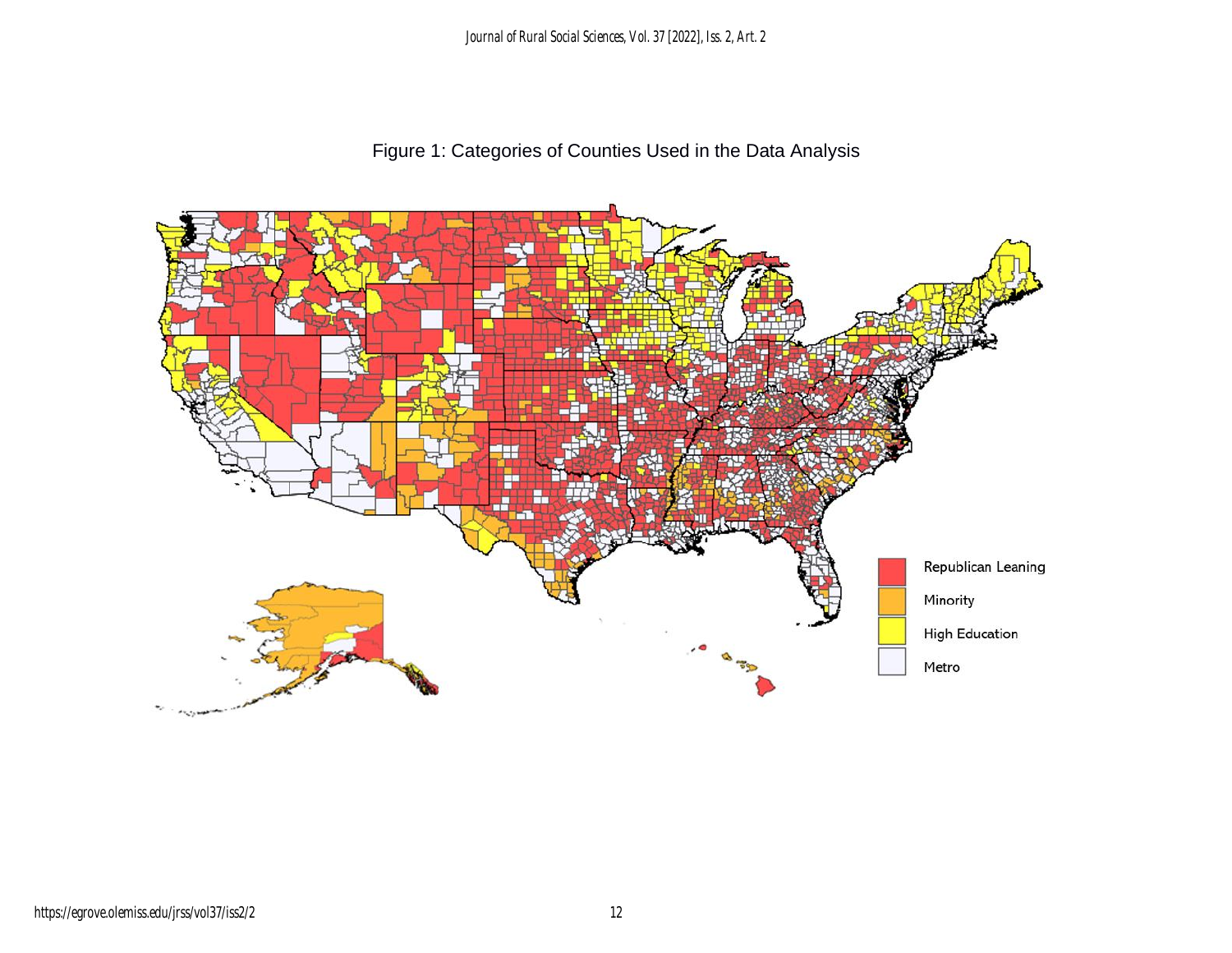*Journal of Rural Social Sciences, Vol. 37 [2022], Iss. 2, Art. 2*

Figure 1: Categories of Counties Used in the Data Analysis

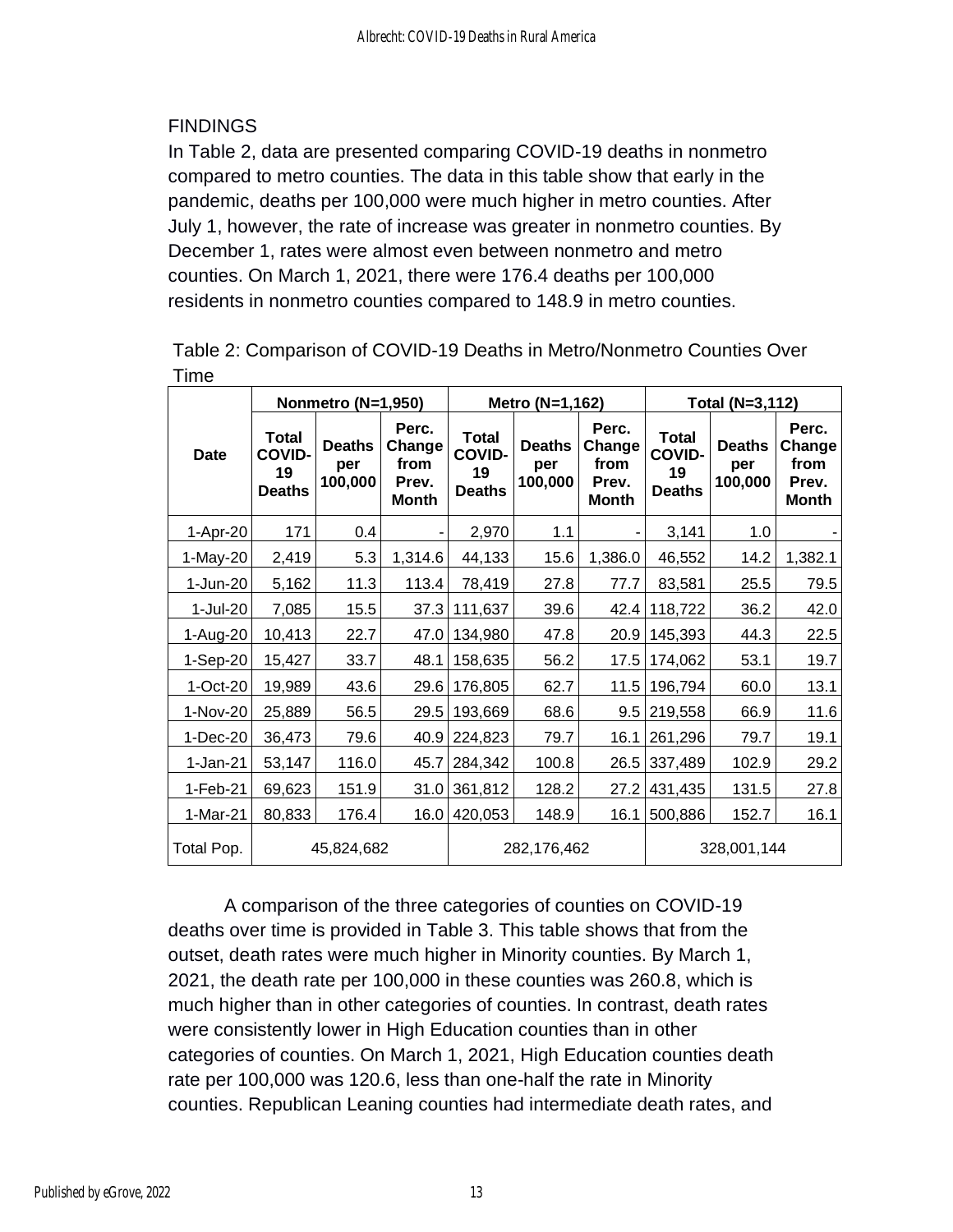#### **FINDINGS**

In Table 2, data are presented comparing COVID-19 deaths in nonmetro compared to metro counties. The data in this table show that early in the pandemic, deaths per 100,000 were much higher in metro counties. After July 1, however, the rate of increase was greater in nonmetro counties. By December 1, rates were almost even between nonmetro and metro counties. On March 1, 2021, there were 176.4 deaths per 100,000 residents in nonmetro counties compared to 148.9 in metro counties.

|             |                                                      | Nonmetro (N=1,950)              |                                                  |                                                      | Metro (N=1,162)                 |                                           | Total (N=3,112)                                      |                                 |                                                  |  |
|-------------|------------------------------------------------------|---------------------------------|--------------------------------------------------|------------------------------------------------------|---------------------------------|-------------------------------------------|------------------------------------------------------|---------------------------------|--------------------------------------------------|--|
| <b>Date</b> | <b>Total</b><br><b>COVID-</b><br>19<br><b>Deaths</b> | <b>Deaths</b><br>per<br>100,000 | Perc.<br>Change<br>from<br>Prev.<br><b>Month</b> | <b>Total</b><br><b>COVID-</b><br>19<br><b>Deaths</b> | <b>Deaths</b><br>per<br>100,000 | Perc.<br>Change<br>from<br>Prev.<br>Month | <b>Total</b><br><b>COVID-</b><br>19<br><b>Deaths</b> | <b>Deaths</b><br>per<br>100,000 | Perc.<br>Change<br>from<br>Prev.<br><b>Month</b> |  |
| $1-Apr-20$  | 171                                                  | 0.4                             |                                                  | 2,970                                                | 1.1                             |                                           | 3,141                                                | 1.0                             |                                                  |  |
| 1-May-20    | 2,419                                                | 5.3                             | 1,314.6                                          | 44,133                                               | 15.6                            | 1,386.0                                   | 46,552                                               | 14.2                            | 1,382.1                                          |  |
| 1-Jun-20    | 5,162                                                | 11.3                            | 113.4                                            | 78,419                                               | 27.8                            | 77.7                                      | 83,581                                               | 25.5                            | 79.5                                             |  |
| 1-Jul-20    | 7,085                                                | 15.5                            | 37.3                                             | 111,637                                              | 39.6                            | 42.4                                      | 118,722                                              | 36.2                            | 42.0                                             |  |
| 1-Aug-20    | 10,413                                               | 22.7                            | 47.0                                             | 134,980                                              | 47.8                            | 20.9                                      | 145,393                                              | 44.3                            | 22.5                                             |  |
| 1-Sep-20    | 15,427                                               | 33.7                            | 48.1                                             | 158,635                                              | 56.2                            | 17.5                                      | 174,062                                              | 53.1                            | 19.7                                             |  |
| $1-Oct-20$  | 19,989                                               | 43.6                            | 29.6                                             | 176,805                                              | 62.7                            | 11.5                                      | 196,794                                              | 60.0                            | 13.1                                             |  |
| 1-Nov-20    | 25,889                                               | 56.5                            | 29.5                                             | 193,669                                              | 68.6                            | 9.5                                       | 219,558                                              | 66.9                            | 11.6                                             |  |
| $1-Dec-20$  | 36,473                                               | 79.6                            | 40.9                                             | 224,823                                              | 79.7                            | 16.1                                      | 261,296                                              | 79.7                            | 19.1                                             |  |
| $1-Jan-21$  | 53,147                                               | 116.0                           | 45.7                                             | 284,342                                              | 100.8                           | 26.5                                      | 337,489                                              | 102.9                           | 29.2                                             |  |
| $1-Feb-21$  | 69,623                                               | 151.9                           | 31.0                                             | 361,812                                              | 128.2                           | 27.2                                      | 431,435                                              | 131.5                           | 27.8                                             |  |
| 1-Mar-21    | 80,833                                               | 176.4                           | 16.0                                             | 420,053                                              | 148.9                           | 16.1                                      | 500,886                                              | 152.7                           | 16.1                                             |  |
| Total Pop.  |                                                      | 45,824,682                      |                                                  |                                                      | 282,176,462                     |                                           | 328,001,144                                          |                                 |                                                  |  |

Table 2: Comparison of COVID-19 Deaths in Metro/Nonmetro Counties Over Time

A comparison of the three categories of counties on COVID-19 deaths over time is provided in Table 3. This table shows that from the outset, death rates were much higher in Minority counties. By March 1, 2021, the death rate per 100,000 in these counties was 260.8, which is much higher than in other categories of counties. In contrast, death rates were consistently lower in High Education counties than in other categories of counties. On March 1, 2021, High Education counties death rate per 100,000 was 120.6, less than one-half the rate in Minority counties. Republican Leaning counties had intermediate death rates, and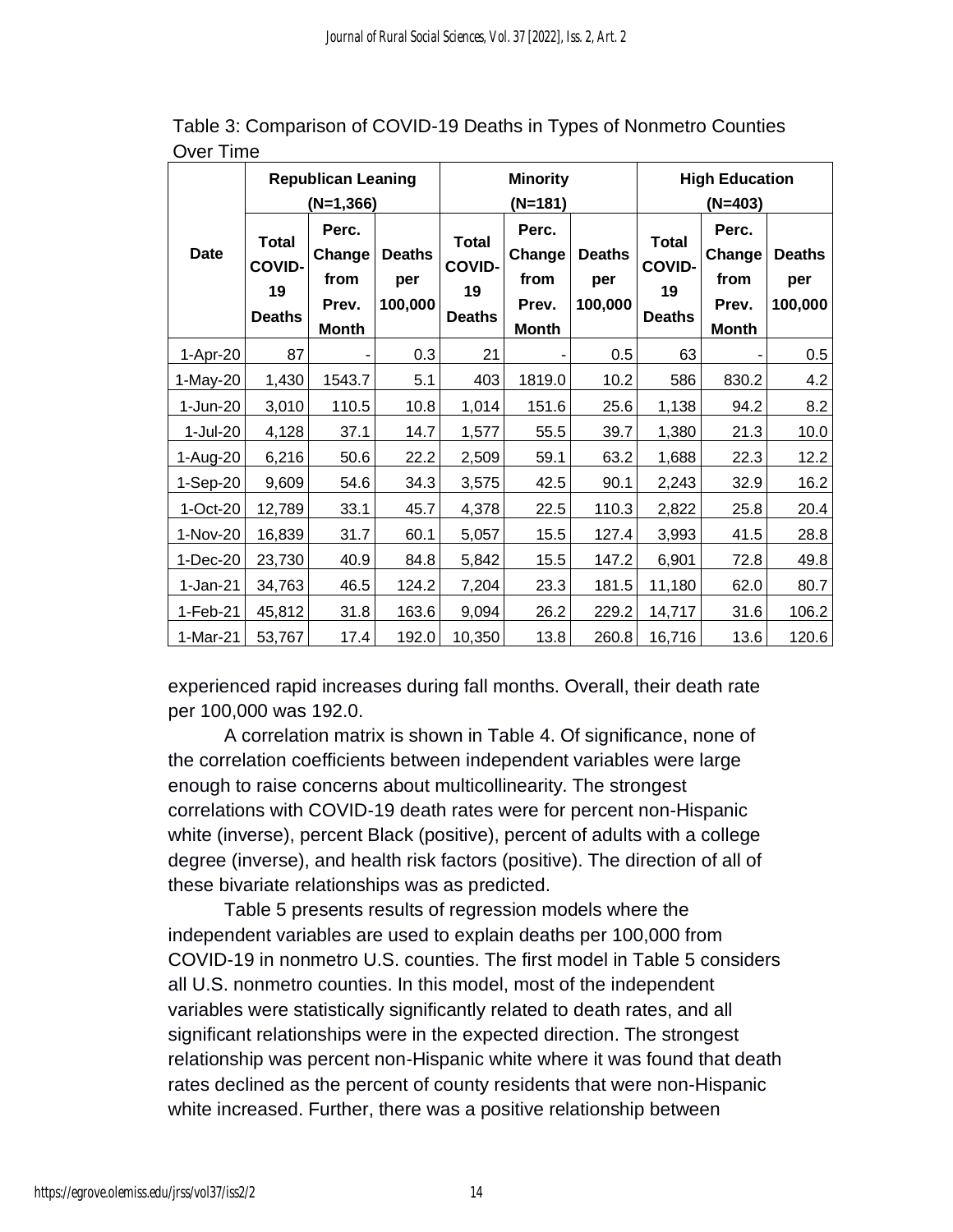|             |                                                      | <b>Republican Leaning</b>                        |                                 |                                                      | <b>Minority</b>                                  |                                 | <b>High Education</b>                                |                                                  |                                 |  |  |
|-------------|------------------------------------------------------|--------------------------------------------------|---------------------------------|------------------------------------------------------|--------------------------------------------------|---------------------------------|------------------------------------------------------|--------------------------------------------------|---------------------------------|--|--|
|             |                                                      | $(N=1,366)$                                      |                                 |                                                      | (N=181)                                          |                                 |                                                      | (N=403)                                          |                                 |  |  |
| <b>Date</b> | <b>Total</b><br><b>COVID-</b><br>19<br><b>Deaths</b> | Perc.<br>Change<br>from<br>Prev.<br><b>Month</b> | <b>Deaths</b><br>per<br>100,000 | <b>Total</b><br><b>COVID-</b><br>19<br><b>Deaths</b> | Perc.<br>Change<br>from<br>Prev.<br><b>Month</b> | <b>Deaths</b><br>per<br>100,000 | <b>Total</b><br><b>COVID-</b><br>19<br><b>Deaths</b> | Perc.<br>Change<br>from<br>Prev.<br><b>Month</b> | <b>Deaths</b><br>per<br>100,000 |  |  |
| 1-Apr-20    | 87                                                   |                                                  | 0.3                             | 21                                                   |                                                  | 0.5                             | 63                                                   | ٠                                                | 0.5                             |  |  |
| 1-May-20    | 1,430                                                | 1543.7                                           | 5.1                             | 403                                                  | 1819.0                                           | 10.2                            | 586                                                  | 830.2                                            | 4.2                             |  |  |
| 1-Jun-20    | 3,010                                                | 110.5                                            | 10.8                            | 1,014                                                | 151.6                                            | 25.6                            | 1,138                                                | 94.2                                             | 8.2                             |  |  |
| 1-Jul-20    | 4,128                                                | 37.1                                             | 14.7                            | 1,577                                                | 55.5                                             | 39.7                            | 1,380                                                | 21.3                                             | 10.0                            |  |  |
| 1-Aug-20    | 6,216                                                | 50.6                                             | 22.2                            | 2,509                                                | 59.1                                             | 63.2                            | 1,688                                                | 22.3                                             | 12.2                            |  |  |
| $1-Sep-20$  | 9,609                                                | 54.6                                             | 34.3                            | 3,575                                                | 42.5                                             | 90.1                            | 2,243                                                | 32.9                                             | 16.2                            |  |  |
| $1-Cct-20$  | 12,789                                               | 33.1                                             | 45.7                            | 4,378                                                | 22.5                                             | 110.3                           | 2,822                                                | 25.8                                             | 20.4                            |  |  |
| 1-Nov-20    | 16,839                                               | 31.7                                             | 60.1                            | 5,057                                                | 15.5                                             | 127.4                           | 3,993                                                | 41.5                                             | 28.8                            |  |  |
| 1-Dec-20    | 23,730                                               | 40.9                                             | 84.8                            | 5,842                                                | 15.5                                             | 147.2                           | 6,901                                                | 72.8                                             | 49.8                            |  |  |
| $1-Jan-21$  | 34,763                                               | 46.5                                             | 124.2                           | 7,204                                                | 23.3                                             | 181.5                           | 11,180                                               | 62.0                                             | 80.7                            |  |  |
| 1-Feb-21    | 45,812                                               | 31.8                                             | 163.6                           | 9,094                                                | 26.2                                             | 229.2                           | 14,717                                               | 31.6                                             | 106.2                           |  |  |
| 1-Mar-21    | 53,767                                               | 17.4                                             | 192.0                           | 10,350                                               | 13.8                                             | 260.8                           | 16,716                                               | 13.6                                             | 120.6                           |  |  |

Table 3: Comparison of COVID-19 Deaths in Types of Nonmetro Counties Over Time

experienced rapid increases during fall months. Overall, their death rate per 100,000 was 192.0.

A correlation matrix is shown in Table 4. Of significance, none of the correlation coefficients between independent variables were large enough to raise concerns about multicollinearity. The strongest correlations with COVID-19 death rates were for percent non-Hispanic white (inverse), percent Black (positive), percent of adults with a college degree (inverse), and health risk factors (positive). The direction of all of these bivariate relationships was as predicted.

Table 5 presents results of regression models where the independent variables are used to explain deaths per 100,000 from COVID-19 in nonmetro U.S. counties. The first model in Table 5 considers all U.S. nonmetro counties. In this model, most of the independent variables were statistically significantly related to death rates, and all significant relationships were in the expected direction. The strongest relationship was percent non-Hispanic white where it was found that death rates declined as the percent of county residents that were non-Hispanic white increased. Further, there was a positive relationship between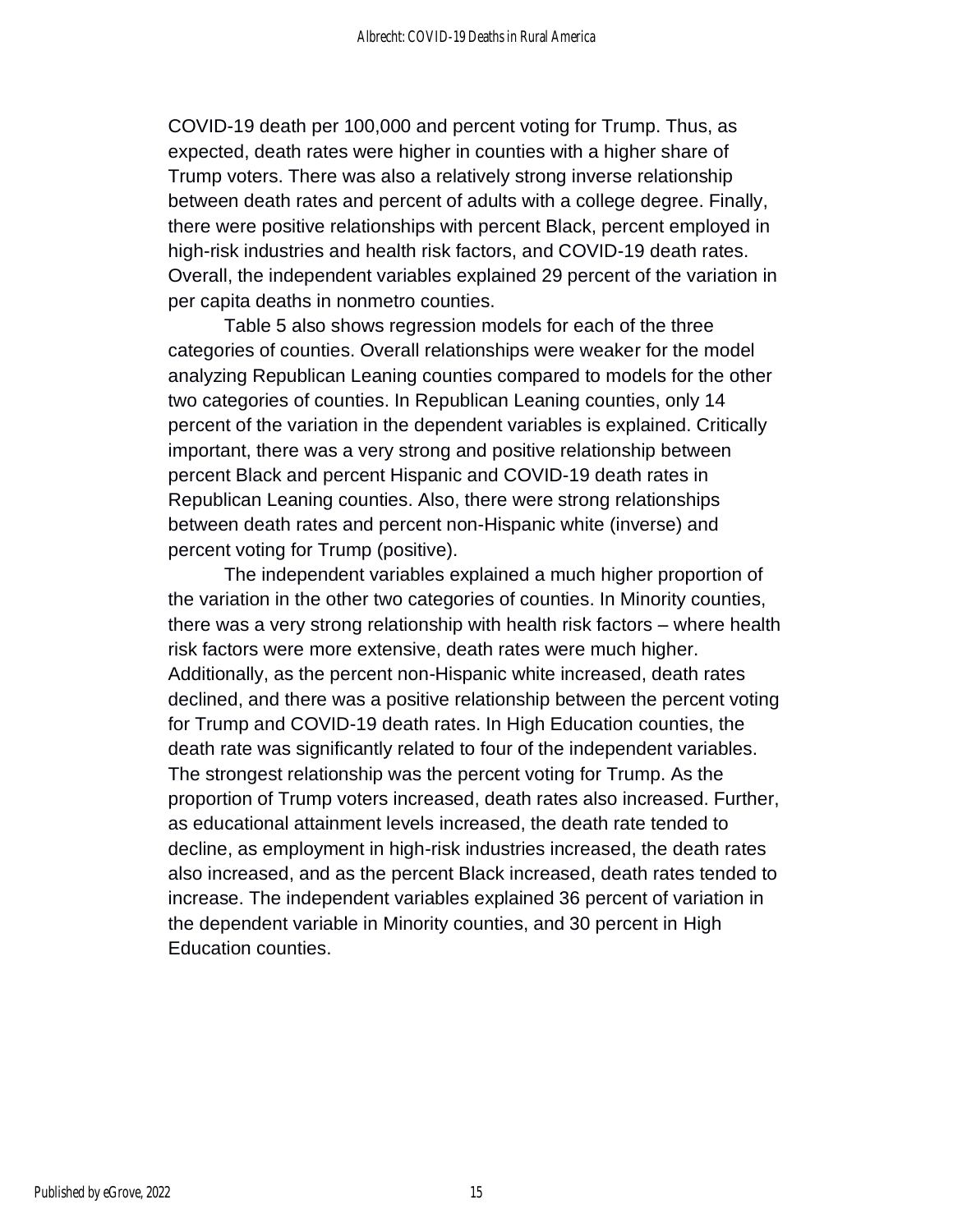COVID-19 death per 100,000 and percent voting for Trump. Thus, as expected, death rates were higher in counties with a higher share of Trump voters. There was also a relatively strong inverse relationship between death rates and percent of adults with a college degree. Finally, there were positive relationships with percent Black, percent employed in high-risk industries and health risk factors, and COVID-19 death rates. Overall, the independent variables explained 29 percent of the variation in per capita deaths in nonmetro counties.

Table 5 also shows regression models for each of the three categories of counties. Overall relationships were weaker for the model analyzing Republican Leaning counties compared to models for the other two categories of counties. In Republican Leaning counties, only 14 percent of the variation in the dependent variables is explained. Critically important, there was a very strong and positive relationship between percent Black and percent Hispanic and COVID-19 death rates in Republican Leaning counties. Also, there were strong relationships between death rates and percent non-Hispanic white (inverse) and percent voting for Trump (positive).

The independent variables explained a much higher proportion of the variation in the other two categories of counties. In Minority counties, there was a very strong relationship with health risk factors – where health risk factors were more extensive, death rates were much higher. Additionally, as the percent non-Hispanic white increased, death rates declined, and there was a positive relationship between the percent voting for Trump and COVID-19 death rates. In High Education counties, the death rate was significantly related to four of the independent variables. The strongest relationship was the percent voting for Trump. As the proportion of Trump voters increased, death rates also increased. Further, as educational attainment levels increased, the death rate tended to decline, as employment in high-risk industries increased, the death rates also increased, and as the percent Black increased, death rates tended to increase. The independent variables explained 36 percent of variation in the dependent variable in Minority counties, and 30 percent in High Education counties.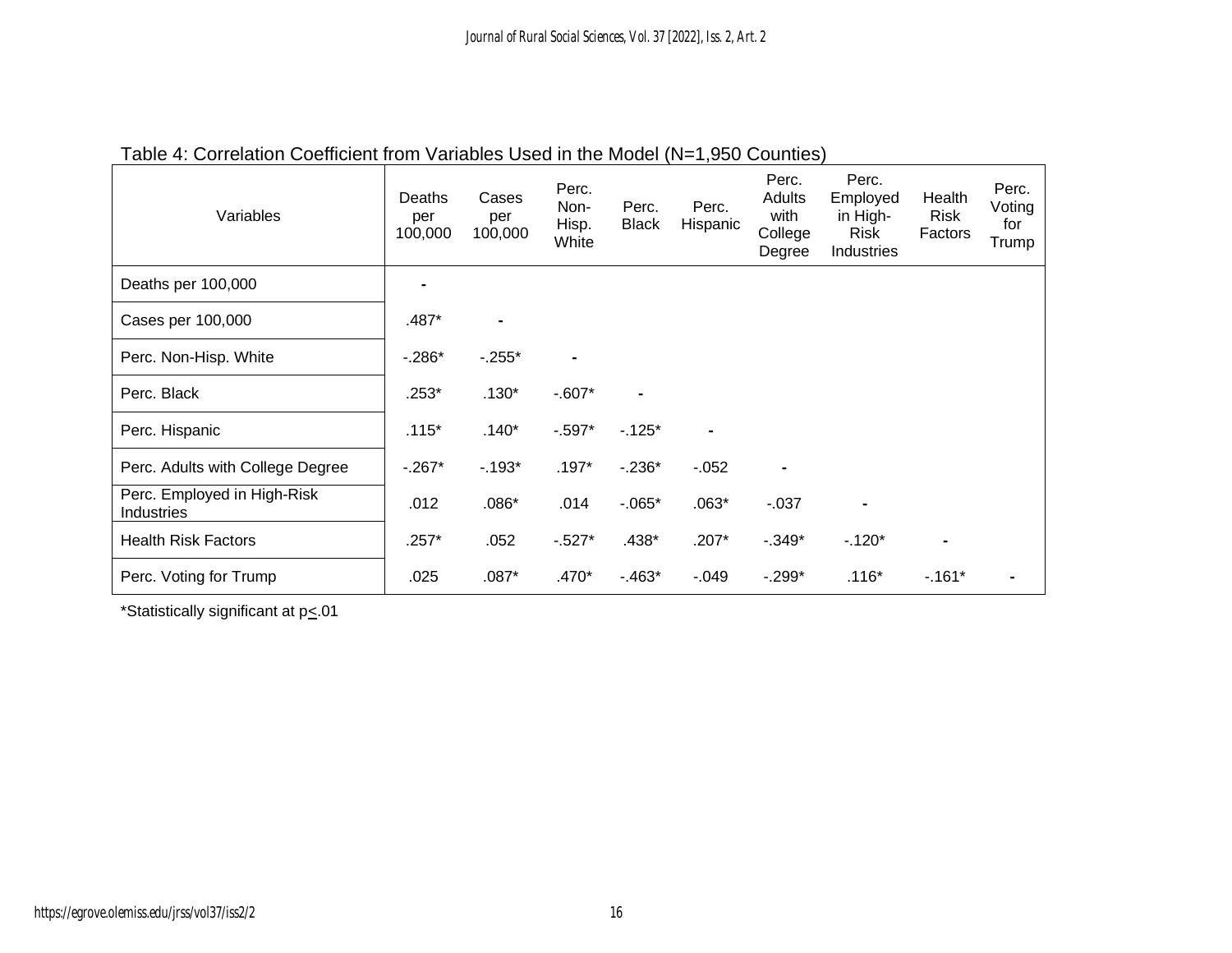| Variables                                 | Deaths<br>per<br>100,000 | Cases<br>per<br>100,000 | Perc.<br>Non-<br>Hisp.<br>White | Perc.<br><b>Black</b> | Perc.<br>Hispanic | Perc.<br>Adults<br>with<br>College<br>Degree | Perc.<br>Employed<br>in High-<br>Risk<br>Industries | Health<br><b>Risk</b><br>Factors | Perc.<br>Voting<br>for<br>Trump |
|-------------------------------------------|--------------------------|-------------------------|---------------------------------|-----------------------|-------------------|----------------------------------------------|-----------------------------------------------------|----------------------------------|---------------------------------|
| Deaths per 100,000                        |                          |                         |                                 |                       |                   |                                              |                                                     |                                  |                                 |
| Cases per 100,000                         | $.487*$                  | $\blacksquare$          |                                 |                       |                   |                                              |                                                     |                                  |                                 |
| Perc. Non-Hisp. White                     | $-.286*$                 | $-0.255*$               |                                 |                       |                   |                                              |                                                     |                                  |                                 |
| Perc. Black                               | $.253*$                  | $.130*$                 | $-0.607*$                       | $\blacksquare$        |                   |                                              |                                                     |                                  |                                 |
| Perc. Hispanic                            | $.115*$                  | $.140*$                 | $-0.597*$                       | $-125*$               |                   |                                              |                                                     |                                  |                                 |
| Perc. Adults with College Degree          | $-0.267*$                | $-0.193*$               | $.197*$                         | $-236*$               | $-0.052$          |                                              |                                                     |                                  |                                 |
| Perc. Employed in High-Risk<br>Industries | .012                     | $.086*$                 | .014                            | $-0.065*$             | $.063*$           | $-0.037$                                     | $\blacksquare$                                      |                                  |                                 |
| <b>Health Risk Factors</b>                | $.257*$                  | .052                    | $-527*$                         | $.438*$               | $.207*$           | $-0.349*$                                    | $-120*$                                             |                                  |                                 |
| Perc. Voting for Trump                    | .025                     | $.087*$                 | $.470*$                         | $-463*$               | $-.049$           | $-0.299*$                                    | $.116*$                                             | $-161*$                          |                                 |

# Table 4: Correlation Coefficient from Variables Used in the Model (N=1,950 Counties)

\*Statistically significant at  $p \leq 01$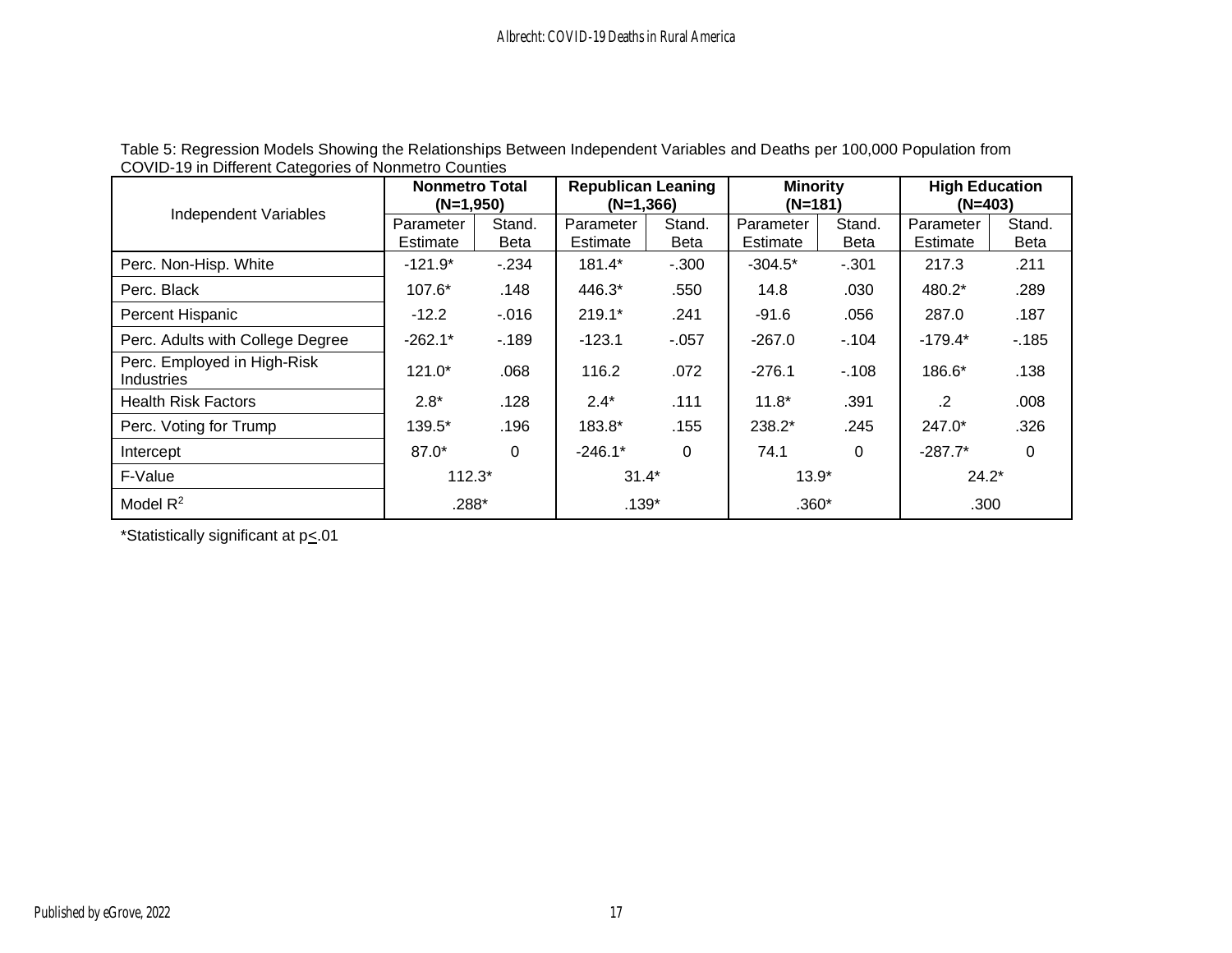| Independent Variables                            | <b>Nonmetro Total</b><br>$(N=1,950)$ |                       | <b>Republican Leaning</b><br>$(N=1,366)$ |                       | <b>Minority</b><br>$(N=181)$ |                       | <b>High Education</b><br>$(N=403)$ |                       |
|--------------------------------------------------|--------------------------------------|-----------------------|------------------------------------------|-----------------------|------------------------------|-----------------------|------------------------------------|-----------------------|
|                                                  | Parameter<br>Estimate                | Stand.<br><b>Beta</b> | Parameter<br>Estimate                    | Stand.<br><b>Beta</b> | Parameter<br>Estimate        | Stand.<br><b>Beta</b> | Parameter<br>Estimate              | Stand.<br><b>Beta</b> |
| Perc. Non-Hisp. White                            | $-121.9*$                            | $-234$                | 181.4*                                   | $-.300$               | $-304.5*$                    | $-.301$               | 217.3                              | .211                  |
| Perc. Black                                      | 107.6*                               | .148                  | 446.3*                                   | .550                  | 14.8                         | .030                  | 480.2*                             | .289                  |
| Percent Hispanic                                 | $-12.2$                              | $-0.016$              | $219.1*$                                 | .241                  | $-91.6$                      | .056                  | 287.0                              | .187                  |
| Perc. Adults with College Degree                 | $-262.1*$                            | $-189$                | $-123.1$                                 | $-057$                | $-267.0$                     | $-104$                | $-179.4*$                          | $-185$                |
| Perc. Employed in High-Risk<br><b>Industries</b> | $121.0*$                             | .068                  | 116.2                                    | .072                  | $-276.1$                     | $-108$                | 186.6*                             | .138                  |
| <b>Health Risk Factors</b>                       | $2.8*$                               | .128                  | $2.4*$                                   | .111                  | $11.8*$                      | .391                  | $\cdot$ .2                         | .008                  |
| Perc. Voting for Trump                           | 139.5*                               | .196                  | 183.8*                                   | .155                  | 238.2*                       | .245                  | $247.0*$                           | .326                  |
| Intercept                                        | 87.0*                                | $\Omega$              | $-246.1*$                                | $\Omega$              | 74.1                         | 0                     | $-287.7*$                          | $\Omega$              |
| F-Value                                          | $112.3*$                             |                       | $31.4*$                                  |                       | $13.9*$                      |                       | $24.2*$                            |                       |
| Model $R^2$                                      | .288*                                |                       | $.139*$                                  |                       | $.360*$                      |                       | .300                               |                       |

Table 5: Regression Models Showing the Relationships Between Independent Variables and Deaths per 100,000 Population from COVID-19 in Different Categories of Nonmetro Counties

\*Statistically significant at  $p_{\leq}.01$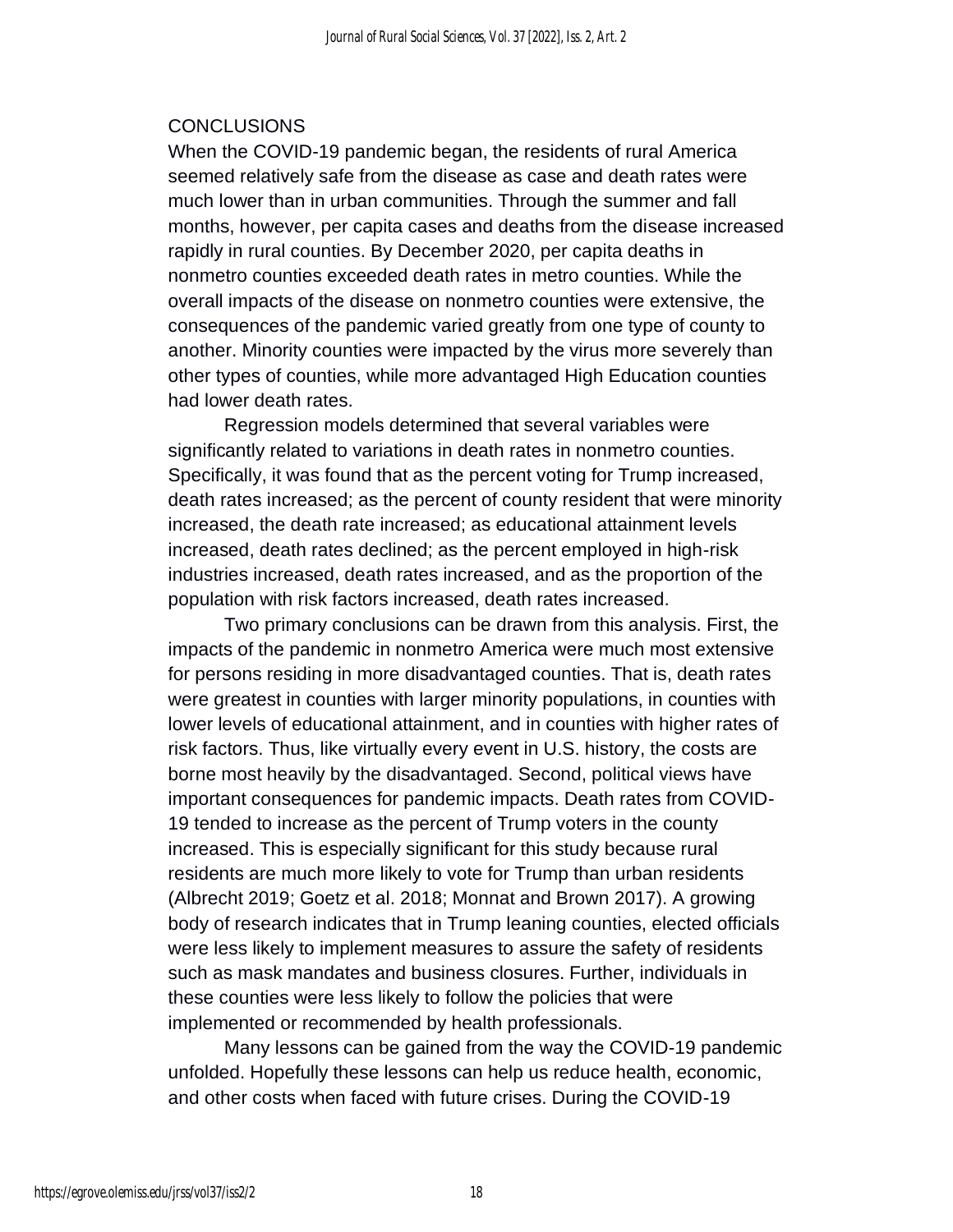#### CONCLUSIONS

When the COVID-19 pandemic began, the residents of rural America seemed relatively safe from the disease as case and death rates were much lower than in urban communities. Through the summer and fall months, however, per capita cases and deaths from the disease increased rapidly in rural counties. By December 2020, per capita deaths in nonmetro counties exceeded death rates in metro counties. While the overall impacts of the disease on nonmetro counties were extensive, the consequences of the pandemic varied greatly from one type of county to another. Minority counties were impacted by the virus more severely than other types of counties, while more advantaged High Education counties had lower death rates.

Regression models determined that several variables were significantly related to variations in death rates in nonmetro counties. Specifically, it was found that as the percent voting for Trump increased, death rates increased; as the percent of county resident that were minority increased, the death rate increased; as educational attainment levels increased, death rates declined; as the percent employed in high-risk industries increased, death rates increased, and as the proportion of the population with risk factors increased, death rates increased.

Two primary conclusions can be drawn from this analysis. First, the impacts of the pandemic in nonmetro America were much most extensive for persons residing in more disadvantaged counties. That is, death rates were greatest in counties with larger minority populations, in counties with lower levels of educational attainment, and in counties with higher rates of risk factors. Thus, like virtually every event in U.S. history, the costs are borne most heavily by the disadvantaged. Second, political views have important consequences for pandemic impacts. Death rates from COVID-19 tended to increase as the percent of Trump voters in the county increased. This is especially significant for this study because rural residents are much more likely to vote for Trump than urban residents (Albrecht 2019; Goetz et al. 2018; Monnat and Brown 2017). A growing body of research indicates that in Trump leaning counties, elected officials were less likely to implement measures to assure the safety of residents such as mask mandates and business closures. Further, individuals in these counties were less likely to follow the policies that were implemented or recommended by health professionals.

Many lessons can be gained from the way the COVID-19 pandemic unfolded. Hopefully these lessons can help us reduce health, economic, and other costs when faced with future crises. During the COVID-19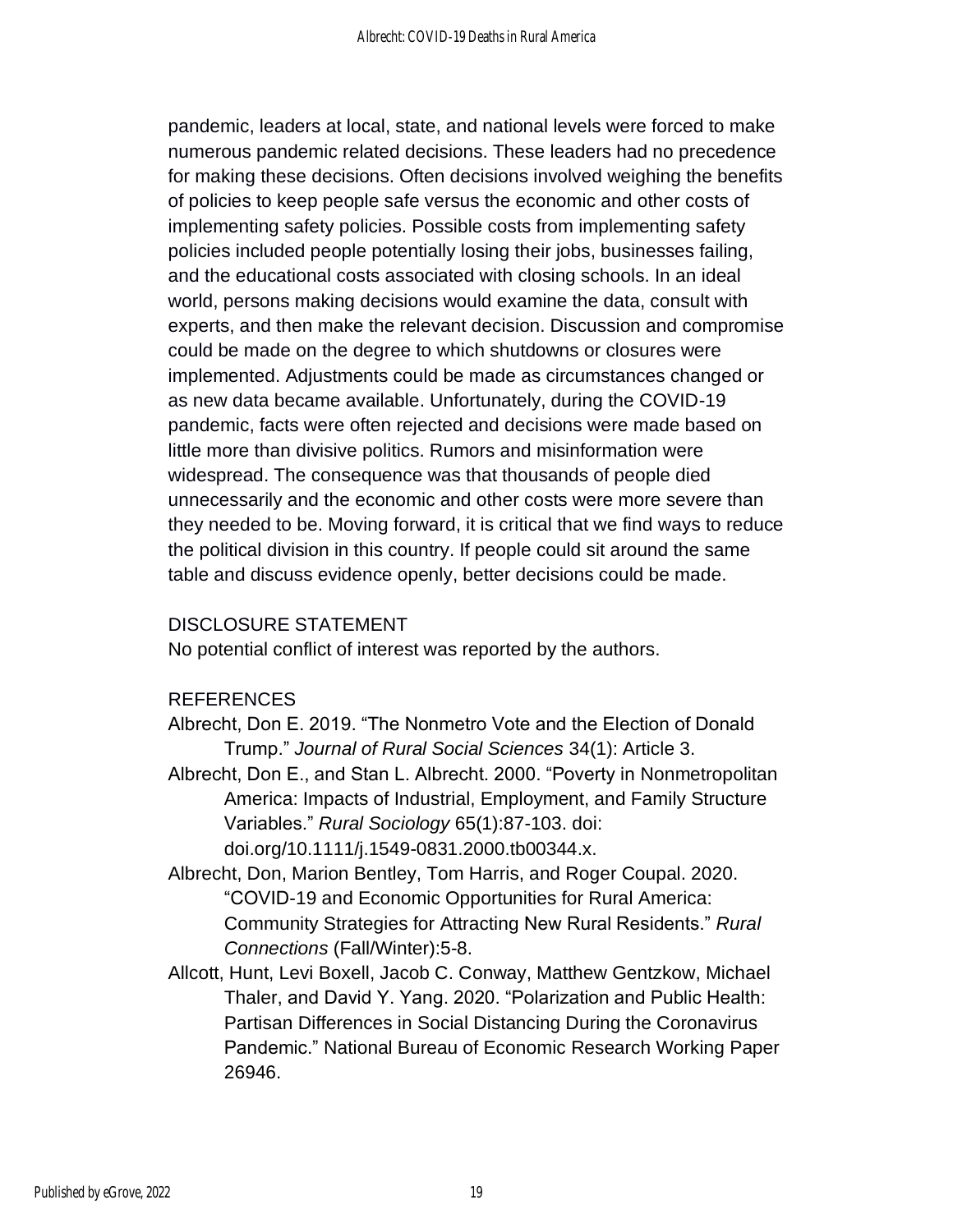pandemic, leaders at local, state, and national levels were forced to make numerous pandemic related decisions. These leaders had no precedence for making these decisions. Often decisions involved weighing the benefits of policies to keep people safe versus the economic and other costs of implementing safety policies. Possible costs from implementing safety policies included people potentially losing their jobs, businesses failing, and the educational costs associated with closing schools. In an ideal world, persons making decisions would examine the data, consult with experts, and then make the relevant decision. Discussion and compromise could be made on the degree to which shutdowns or closures were implemented. Adjustments could be made as circumstances changed or as new data became available. Unfortunately, during the COVID-19 pandemic, facts were often rejected and decisions were made based on little more than divisive politics. Rumors and misinformation were widespread. The consequence was that thousands of people died unnecessarily and the economic and other costs were more severe than they needed to be. Moving forward, it is critical that we find ways to reduce the political division in this country. If people could sit around the same table and discuss evidence openly, better decisions could be made.

#### DISCLOSURE STATEMENT

No potential conflict of interest was reported by the authors.

#### REFERENCES

- Albrecht, Don E. 2019. "The Nonmetro Vote and the Election of Donald Trump." *Journal of Rural Social Sciences* 34(1): Article 3.
- Albrecht, Don E., and Stan L. Albrecht. 2000. "Poverty in Nonmetropolitan America: Impacts of Industrial, Employment, and Family Structure Variables." *Rural Sociology* 65(1):87-103. doi: doi.org/10.1111/j.1549-0831.2000.tb00344.x.
- Albrecht, Don, Marion Bentley, Tom Harris, and Roger Coupal. 2020. "COVID-19 and Economic Opportunities for Rural America: Community Strategies for Attracting New Rural Residents." *Rural Connections* (Fall/Winter):5-8.
- Allcott, Hunt, Levi Boxell, Jacob C. Conway, Matthew Gentzkow, Michael Thaler, and David Y. Yang. 2020. "Polarization and Public Health: Partisan Differences in Social Distancing During the Coronavirus Pandemic." National Bureau of Economic Research Working Paper 26946.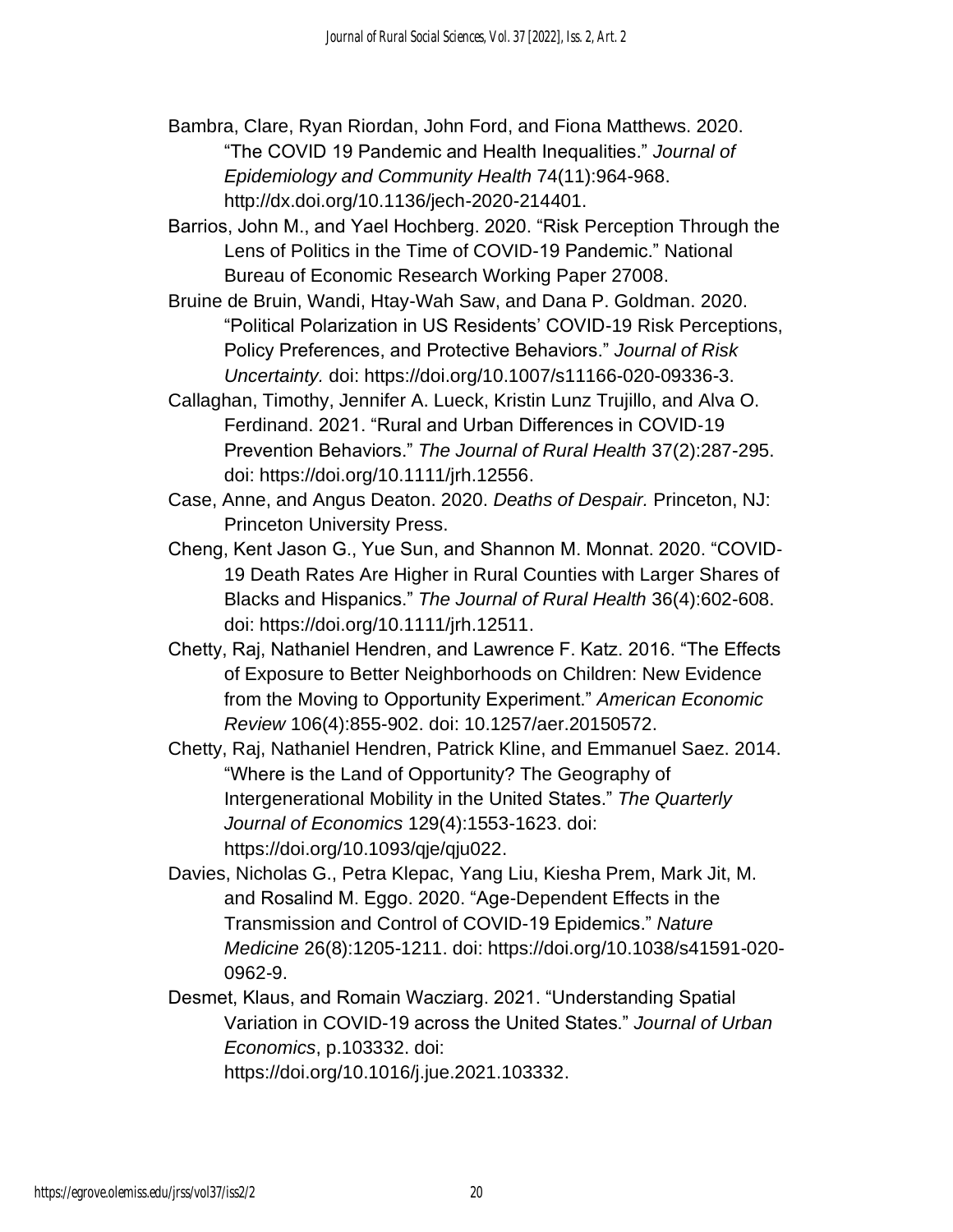Bambra, Clare, Ryan Riordan, John Ford, and Fiona Matthews. 2020. "The COVID 19 Pandemic and Health Inequalities." *Journal of Epidemiology and Community Health* 74(11):964-968. http://dx.doi.org/10.1136/jech-2020-214401.

Barrios, John M., and Yael Hochberg. 2020. "Risk Perception Through the Lens of Politics in the Time of COVID-19 Pandemic." National Bureau of Economic Research Working Paper 27008.

Bruine de Bruin, Wandi, Htay-Wah Saw, and Dana P. Goldman. 2020. "Political Polarization in US Residents' COVID-19 Risk Perceptions, Policy Preferences, and Protective Behaviors." *Journal of Risk Uncertainty.* doi: https://doi.org/10.1007/s11166-020-09336-3.

Callaghan, Timothy, Jennifer A. Lueck, Kristin Lunz Trujillo, and Alva O. Ferdinand. 2021. "Rural and Urban Differences in COVID‐19 Prevention Behaviors." *The Journal of Rural Health* 37(2):287-295. doi: https://doi.org/10.1111/jrh.12556.

Case, Anne, and Angus Deaton. 2020. *Deaths of Despair.* Princeton, NJ: Princeton University Press.

Cheng, Kent Jason G., Yue Sun, and Shannon M. Monnat. 2020. "COVID‐ 19 Death Rates Are Higher in Rural Counties with Larger Shares of Blacks and Hispanics." *The Journal of Rural Health* 36(4):602-608. doi: https://doi.org/10.1111/jrh.12511.

Chetty, Raj, Nathaniel Hendren, and Lawrence F. Katz. 2016. "The Effects of Exposure to Better Neighborhoods on Children: New Evidence from the Moving to Opportunity Experiment." *American Economic Review* 106(4):855-902. doi: 10.1257/aer.20150572.

Chetty, Raj, Nathaniel Hendren, Patrick Kline, and Emmanuel Saez. 2014. "Where is the Land of Opportunity? The Geography of Intergenerational Mobility in the United States." *The Quarterly Journal of Economics* 129(4):1553-1623. doi: https://doi.org/10.1093/qje/qju022.

Davies, Nicholas G., Petra Klepac, Yang Liu, Kiesha Prem, Mark Jit, M. and Rosalind M. Eggo. 2020. "Age-Dependent Effects in the Transmission and Control of COVID-19 Epidemics." *Nature Medicine* 26(8):1205-1211. doi: https://doi.org/10.1038/s41591-020- 0962-9.

Desmet, Klaus, and Romain Wacziarg. 2021. "Understanding Spatial Variation in COVID-19 across the United States." *Journal of Urban Economics*, p.103332. doi: https://doi.org/10.1016/j.jue.2021.103332.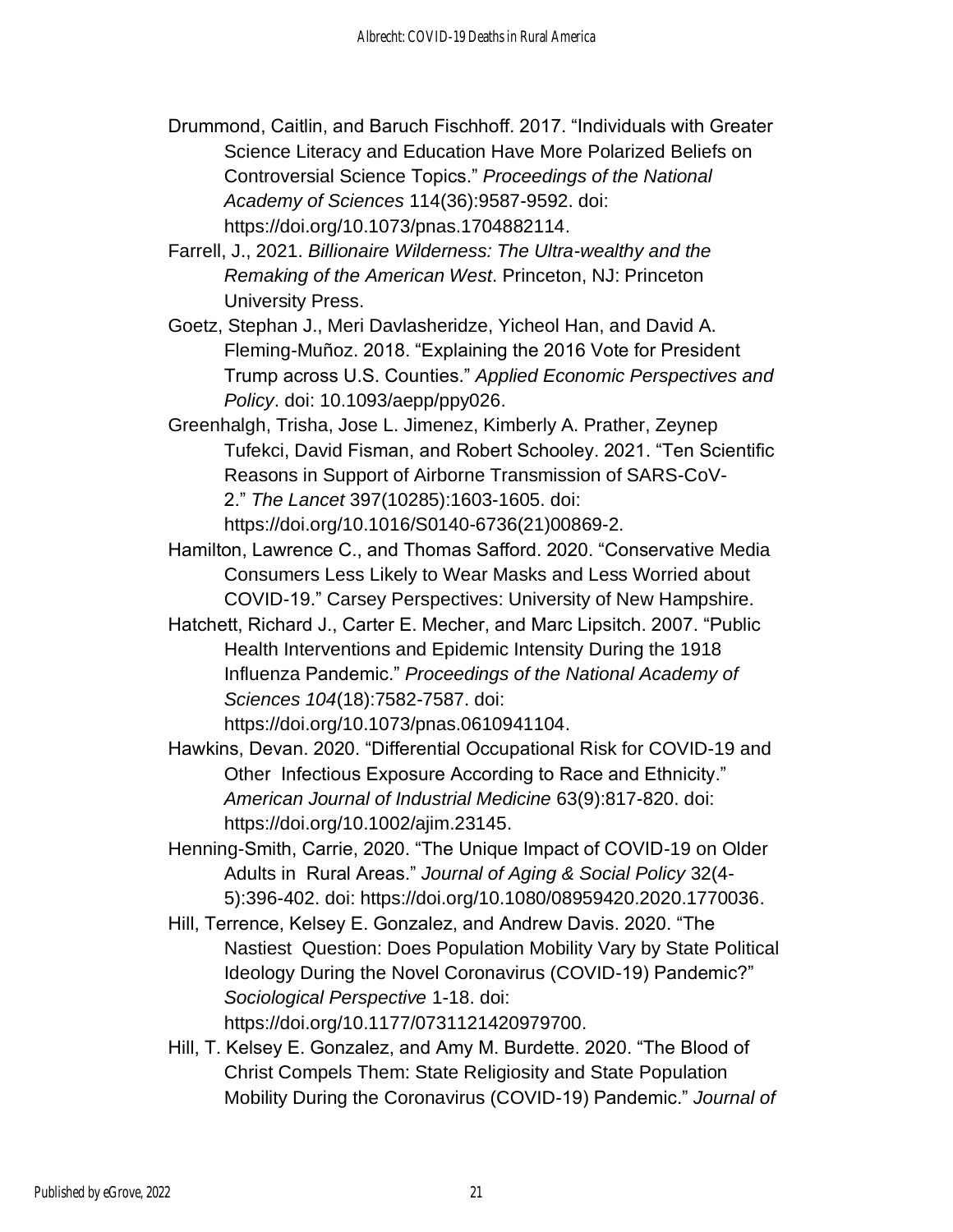- Drummond, Caitlin, and Baruch Fischhoff. 2017. "Individuals with Greater Science Literacy and Education Have More Polarized Beliefs on Controversial Science Topics." *Proceedings of the National Academy of Sciences* 114(36):9587-9592. doi: https://doi.org/10.1073/pnas.1704882114.
- Farrell, J., 2021. *Billionaire Wilderness: The Ultra-wealthy and the Remaking of the American West*. Princeton, NJ: Princeton University Press.
- Goetz, Stephan J., Meri Davlasheridze, Yicheol Han, and David A. Fleming-Muñoz. 2018. "Explaining the 2016 Vote for President Trump across U.S. Counties." *Applied Economic Perspectives and Policy*. doi: 10.1093/aepp/ppy026.
- Greenhalgh, Trisha, Jose L. Jimenez, Kimberly A. Prather, Zeynep Tufekci, David Fisman, and Robert Schooley. 2021. "Ten Scientific Reasons in Support of Airborne Transmission of SARS-CoV-2." *The Lancet* 397(10285):1603-1605. doi: https://doi.org/10.1016/S0140-6736(21)00869-2.
- Hamilton, Lawrence C., and Thomas Safford. 2020. "Conservative Media Consumers Less Likely to Wear Masks and Less Worried about COVID-19." Carsey Perspectives: University of New Hampshire.
- Hatchett, Richard J., Carter E. Mecher, and Marc Lipsitch. 2007. "Public Health Interventions and Epidemic Intensity During the 1918 Influenza Pandemic." *Proceedings of the National Academy of Sciences 104*(18):7582-7587. [doi:](https://doi.org/10.1073/pnas.0610941104)

[https://doi.org/10.1073/pnas.0610941104.](https://doi.org/10.1073/pnas.0610941104)

- Hawkins, Devan. 2020. "Differential Occupational Risk for COVID-19 and Other Infectious Exposure According to Race and Ethnicity." *American Journal of Industrial Medicine* 63(9):817-820. doi: https://doi.org/10.1002/ajim.23145.
- Henning-Smith, Carrie, 2020. "The Unique Impact of COVID-19 on Older Adults in Rural Areas." *Journal of Aging & Social Policy* 32(4- 5):396-402. doi: https://doi.org/10.1080/08959420.2020.1770036.
- Hill, Terrence, Kelsey E. Gonzalez, and Andrew Davis. 2020. "The Nastiest Question: Does Population Mobility Vary by State Political Ideology During the Novel Coronavirus (COVID-19) Pandemic?" *Sociological Perspective* 1-18. doi: https://doi.org/10.1177/0731121420979700.
- Hill, T. Kelsey E. Gonzalez, and Amy M. Burdette. 2020. "The Blood of Christ Compels Them: State Religiosity and State Population Mobility During the Coronavirus (COVID-19) Pandemic." *Journal of*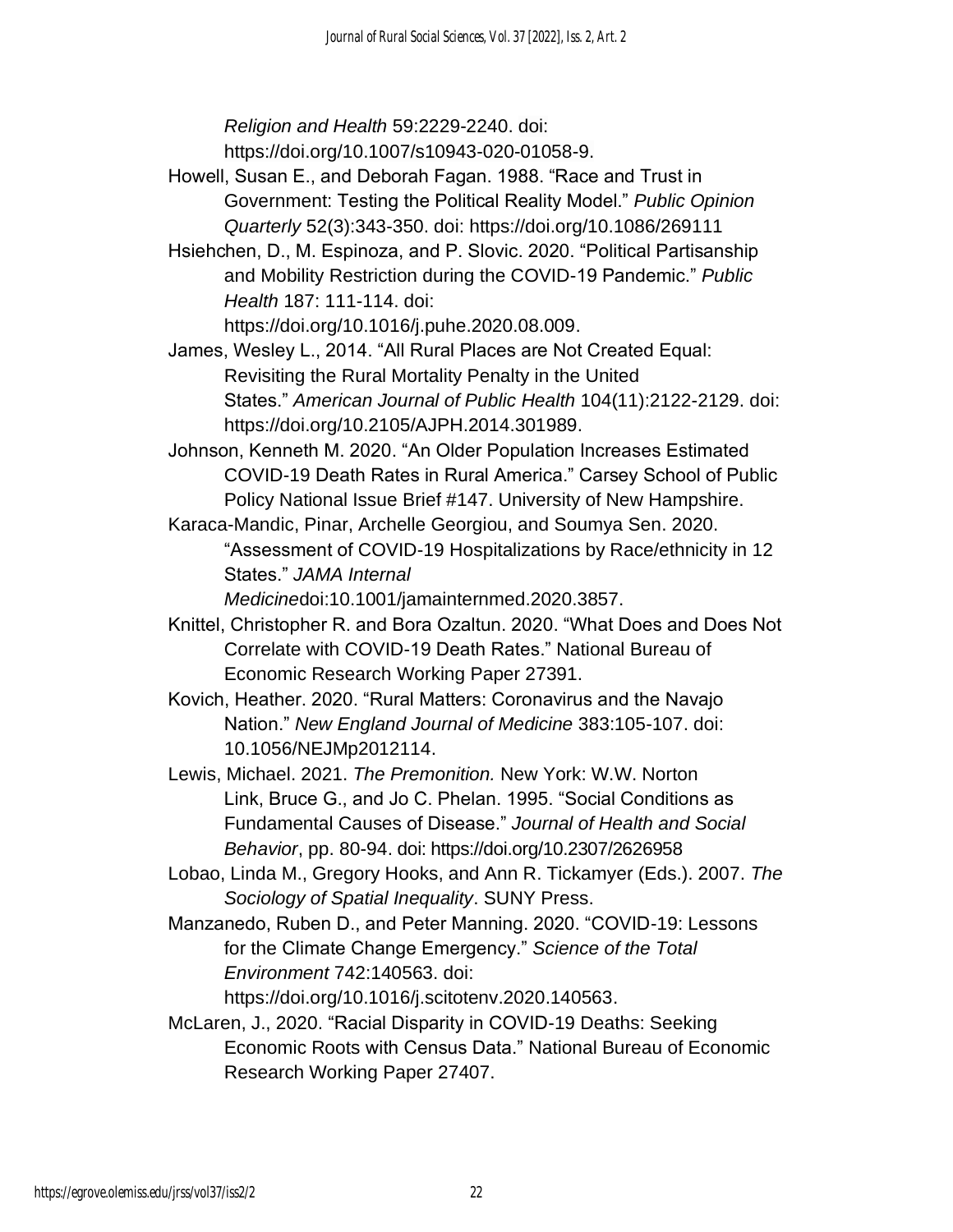*Religion and Health* 59:2229-2240. doi: https://doi.org/10.1007/s10943-020-01058-9.

- Howell, Susan E., and Deborah Fagan. 1988. "Race and Trust in Government: Testing the Political Reality Model." *Public Opinion Quarterly* 52(3):343-350. doi: https://doi.org/10.1086/269111
- Hsiehchen, D., M. Espinoza, and P. Slovic. 2020. "Political Partisanship and Mobility Restriction during the COVID-19 Pandemic." *Public Health* 187: 111-114. doi:

https://doi.org/10.1016/j.puhe.2020.08.009.

- James, Wesley L., 2014. "All Rural Places are Not Created Equal: Revisiting the Rural Mortality Penalty in the United States." *American Journal of Public Health* 104(11):2122-2129. doi: https://doi.org/10.2105/AJPH.2014.301989.
- Johnson, Kenneth M. 2020. "An Older Population Increases Estimated COVID-19 Death Rates in Rural America." Carsey School of Public Policy National Issue Brief #147. University of New Hampshire.
- Karaca-Mandic, Pinar, Archelle Georgiou, and Soumya Sen. 2020. "Assessment of COVID-19 Hospitalizations by Race/ethnicity in 12 States." *JAMA Internal*
	- *Medicine*doi:10.1001/jamainternmed.2020.3857.
- Knittel, Christopher R. and Bora Ozaltun. 2020. "What Does and Does Not Correlate with COVID-19 Death Rates." National Bureau of Economic Research Working Paper 27391.
- Kovich, Heather. 2020. "Rural Matters: Coronavirus and the Navajo Nation." *New England Journal of Medicine* 383:105-107. doi: 10.1056/NEJMp2012114.
- Lewis, Michael. 2021. *The Premonition.* New York: W.W. Norton Link, Bruce G., and Jo C. Phelan. 1995. "Social Conditions as Fundamental Causes of Disease." *Journal of Health and Social Behavior*, pp. 80-94. doi: https://doi.org/10.2307/2626958
- Lobao, Linda M., Gregory Hooks, and Ann R. Tickamyer (Eds.). 2007. *The Sociology of Spatial Inequality*. SUNY Press.
- Manzanedo, Ruben D., and Peter Manning. 2020. "COVID-19: Lessons for the Climate Change Emergency." *Science of the Total Environment* 742:140563. doi:

https://doi.org/10.1016/j.scitotenv.2020.140563.

McLaren, J., 2020. "Racial Disparity in COVID-19 Deaths: Seeking Economic Roots with Census Data." National Bureau of Economic Research Working Paper 27407.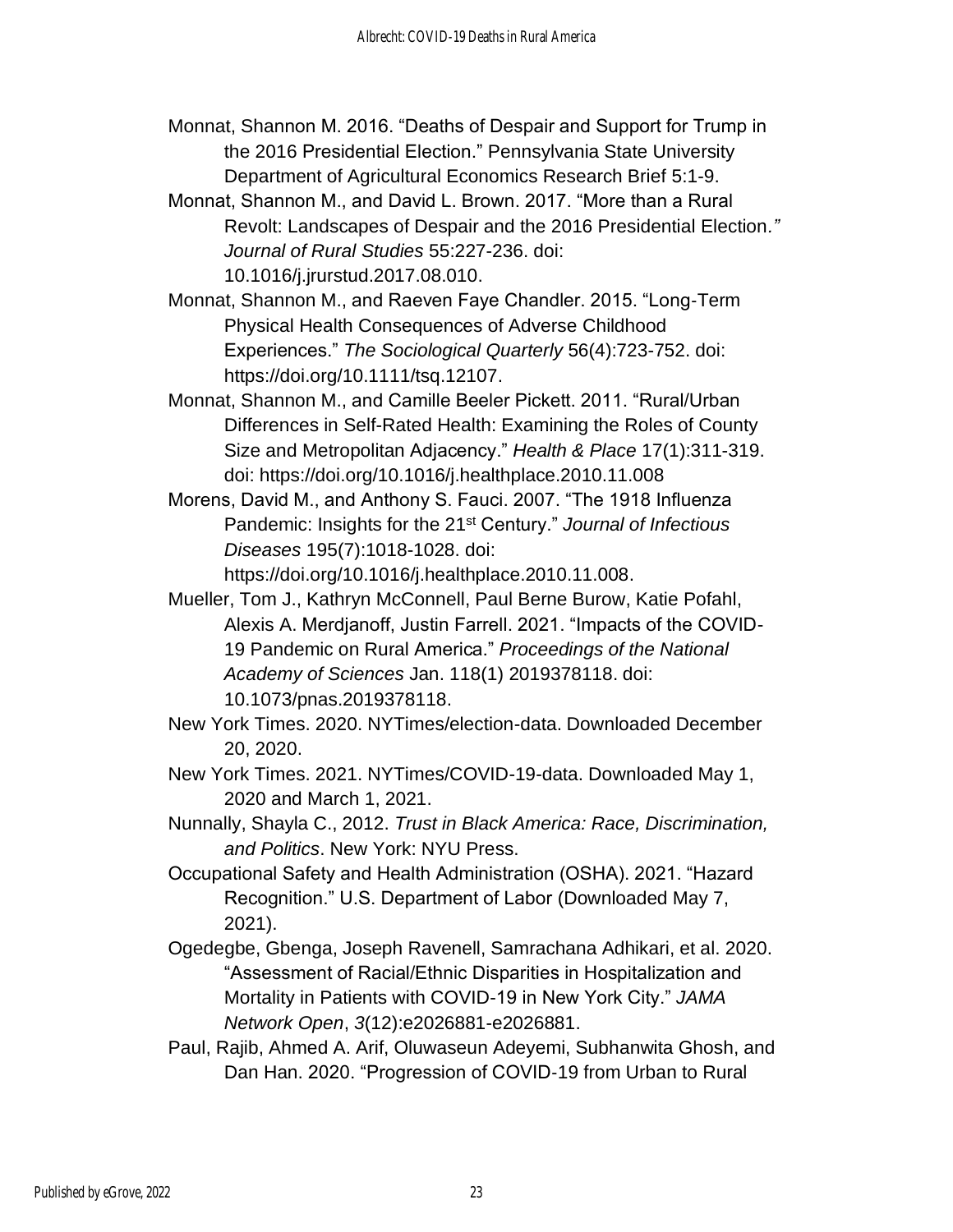- Monnat, Shannon M. 2016. "Deaths of Despair and Support for Trump in the 2016 Presidential Election." Pennsylvania State University Department of Agricultural Economics Research Brief 5:1-9.
- Monnat, Shannon M., and David L. Brown. 2017. "More than a Rural Revolt: Landscapes of Despair and the 2016 Presidential Election*." Journal of Rural Studies* 55:227-236. doi: 10.1016/j.jrurstud.2017.08.010.
- Monnat, Shannon M., and Raeven Faye Chandler. 2015. "Long‐Term Physical Health Consequences of Adverse Childhood Experiences." *The Sociological Quarterly* 56(4):723-752. doi: https://doi.org/10.1111/tsq.12107.
- Monnat, Shannon M., and Camille Beeler Pickett. 2011. "Rural/Urban Differences in Self-Rated Health: Examining the Roles of County Size and Metropolitan Adjacency." *Health & Place* 17(1):311-319. doi: https://doi.org/10.1016/j.healthplace.2010.11.008
- Morens, David M., and Anthony S. Fauci. 2007. "The 1918 Influenza Pandemic: Insights for the 21st Century." *Journal of Infectious Diseases* 195(7):1018-1028. doi:

https://doi.org/10.1016/j.healthplace.2010.11.008.

- Mueller, Tom J., Kathryn McConnell, Paul Berne Burow, Katie Pofahl, Alexis A. Merdjanoff, Justin Farrell. 2021. "Impacts of the COVID-19 Pandemic on Rural America." *Proceedings of the National Academy of Sciences* Jan. 118(1) 2019378118. doi: 10.1073/pnas.2019378118.
- New York Times. 2020. NYTimes/election-data. Downloaded December 20, 2020.
- New York Times. 2021. NYTimes/COVID-19-data. Downloaded May 1, 2020 and March 1, 2021.
- Nunnally, Shayla C., 2012. *Trust in Black America: Race, Discrimination, and Politics*. New York: NYU Press.
- Occupational Safety and Health Administration (OSHA). 2021. "Hazard Recognition." U.S. Department of Labor (Downloaded May 7, 2021).
- Ogedegbe, Gbenga, Joseph Ravenell, Samrachana Adhikari, et al. 2020. "Assessment of Racial/Ethnic Disparities in Hospitalization and Mortality in Patients with COVID-19 in New York City." *JAMA Network Open*, *3*(12):e2026881-e2026881.
- Paul, Rajib, Ahmed A. Arif, Oluwaseun Adeyemi, Subhanwita Ghosh, and Dan Han. 2020. "Progression of COVID‐19 from Urban to Rural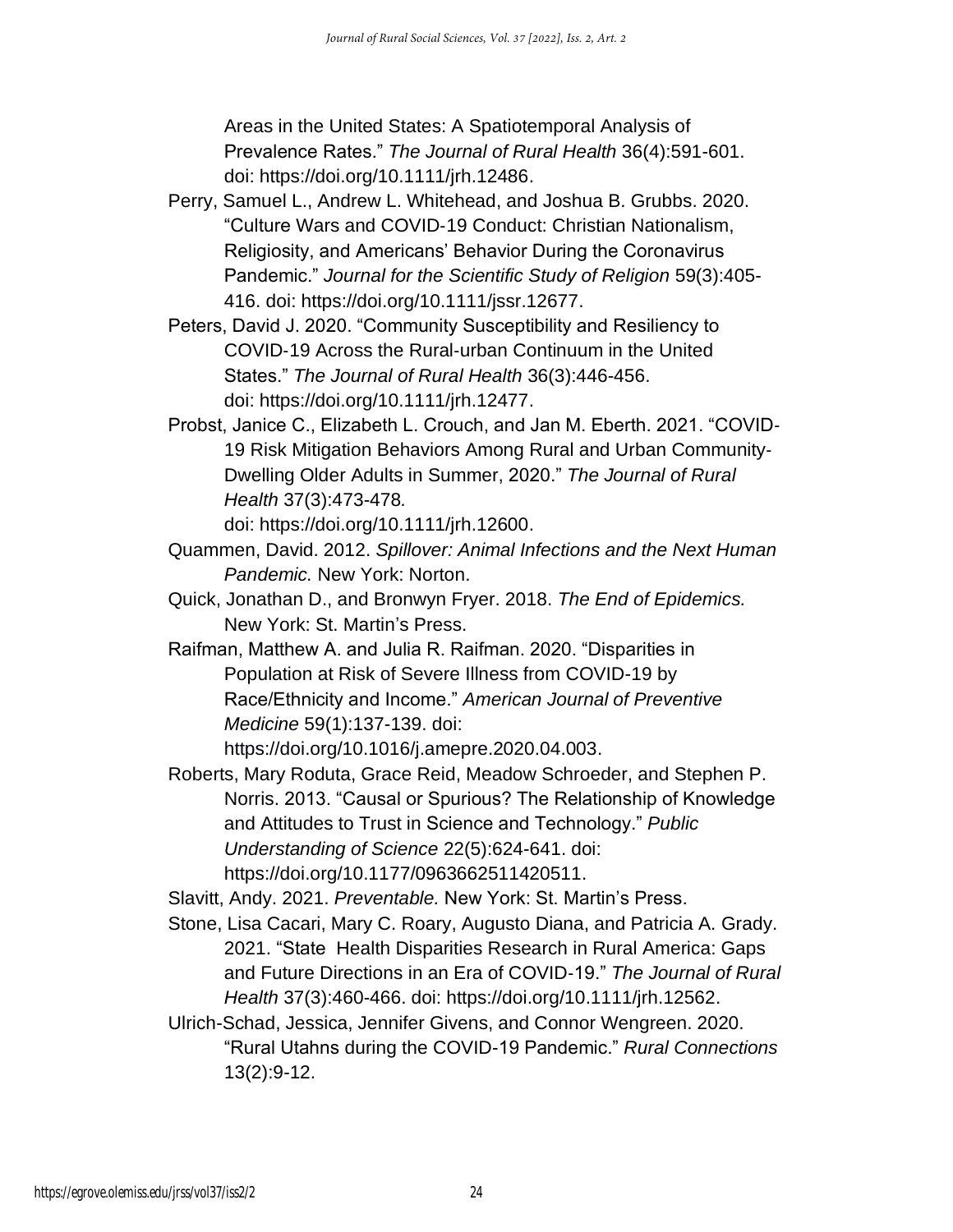Areas in the United States: A Spatiotemporal Analysis of Prevalence Rates." *The Journal of Rural Health* 36(4):591-601. doi: https://doi.org/10.1111/jrh.12486.

- Perry, Samuel L., Andrew L. Whitehead, and Joshua B. Grubbs. 2020. "Culture Wars and COVID‐19 Conduct: Christian Nationalism, Religiosity, and Americans' Behavior During the Coronavirus Pandemic." *Journal for the Scientific Study of Religion* 59(3):405- 416. doi: https://doi.org/10.1111/jssr.12677.
- Peters, David J. 2020. "Community Susceptibility and Resiliency to COVID‐19 Across the Rural‐urban Continuum in the United States." *The Journal of Rural Health* 36(3):446-456. doi: https://doi.org/10.1111/jrh.12477.
- Probst, Janice C., Elizabeth L. Crouch, and Jan M. Eberth. 2021. "COVID‐ 19 Risk Mitigation Behaviors Among Rural and Urban Community‐ Dwelling Older Adults in Summer, 2020." *The Journal of Rural Health* 37(3):473-478*.*

doi: https://doi.org/10.1111/jrh.12600.

- Quammen, David. 2012. *Spillover: Animal Infections and the Next Human Pandemic.* New York: Norton.
- Quick, Jonathan D., and Bronwyn Fryer. 2018. *The End of Epidemics.*  New York: St. Martin's Press.
- Raifman, Matthew A. and Julia R. Raifman. 2020. "Disparities in Population at Risk of Severe Illness from COVID-19 by Race/Ethnicity and Income." *American Journal of Preventive Medicine* 59(1):137-139. doi:

https://doi.org/10.1016/j.amepre.2020.04.003.

Roberts, Mary Roduta, Grace Reid, Meadow Schroeder, and Stephen P. Norris. 2013. "Causal or Spurious? The Relationship of Knowledge and Attitudes to Trust in Science and Technology." *Public Understanding of Science* 22(5):624-641. doi: https://doi.org/10.1177/0963662511420511.

Slavitt, Andy. 2021. *Preventable.* New York: St. Martin's Press.

- Stone, Lisa Cacari, Mary C. Roary, Augusto Diana, and Patricia A. Grady. 2021. "State Health Disparities Research in Rural America: Gaps and Future Directions in an Era of COVID‐19." *The Journal of Rural Health* 37(3):460-466. doi: https://doi.org/10.1111/jrh.12562.
- Ulrich-Schad, Jessica, Jennifer Givens, and Connor Wengreen. 2020. "Rural Utahns during the COVID-19 Pandemic." *Rural Connections*  13(2):9-12.